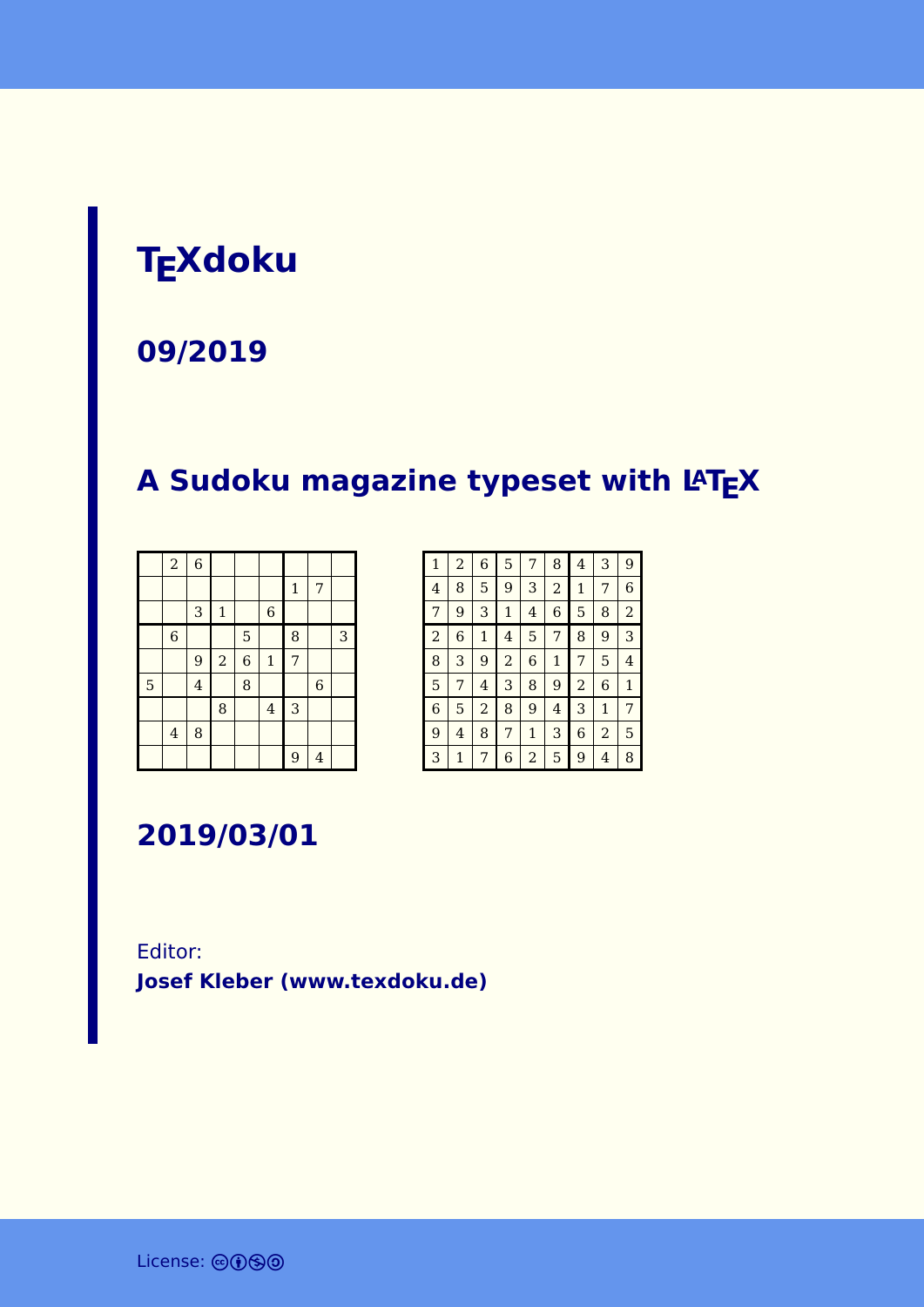# **TEXdoku**

**09/2019**

## **A Sudoku magazine typeset with LATEX**

|   | $\overline{a}$          | $\overline{6}$ |              |                |                |              |                |   |
|---|-------------------------|----------------|--------------|----------------|----------------|--------------|----------------|---|
|   |                         |                |              |                |                | $\mathbf{1}$ | 7              |   |
|   |                         | 3              | $\mathbf{1}$ |                | $\,$ 6 $\,$    |              |                |   |
|   | $\,$ 6 $\,$             |                |              | 5              |                | 8            |                | 3 |
|   |                         | 9              | $\sqrt{2}$   | $\overline{6}$ | $\mathbf 1$    | 7            |                |   |
| 5 |                         | $\overline{4}$ |              | 8              |                |              | $\overline{6}$ |   |
|   |                         |                | 8            |                | $\overline{4}$ | 3            |                |   |
|   | $\overline{\mathbf{4}}$ | 8              |              |                |                |              |                |   |
|   |                         |                |              |                |                | 9            | $\overline{4}$ |   |

| $\mathbf{1}$   | $\overline{a}$ | 6              | 5              | 7 | 8              | 4              | 3            | 9              |
|----------------|----------------|----------------|----------------|---|----------------|----------------|--------------|----------------|
| 4              | 8              | 5              | 9              | 3 | $\overline{a}$ | 1              | 7            | 6              |
| $\overline{7}$ | 9              | 3              | $\mathbf{1}$   | 4 | 6              | 5              | 8            | $\overline{a}$ |
| $\overline{2}$ | 6              | $\mathbf{1}$   | 4              | 5 | 7              | 8              | 9            | 3              |
| 8              | 3              | 9              | $\overline{2}$ | 6 | $\mathbf{1}$   | 7              | 5            | 4              |
| 5              | 7              | 4              | 3              | 8 | 9              | $\overline{a}$ | 6            | $\mathbf{1}$   |
| 6              | 5              | $\overline{a}$ | 8              | 9 | 4              | 3              | $\mathbf{1}$ | 7              |
| 9              | 4              | 8              | 7              | 1 | 3              | 6              | 2            | 5              |
| 3              | 1              | 7              | 6              | 2 | 5              | 9              | 4            | 8              |

**2019/03/01**

Editor: **[Josef Kleber \(www.texdoku.de\)](mailto:texdoku@texdoku.de)**

License: @**0**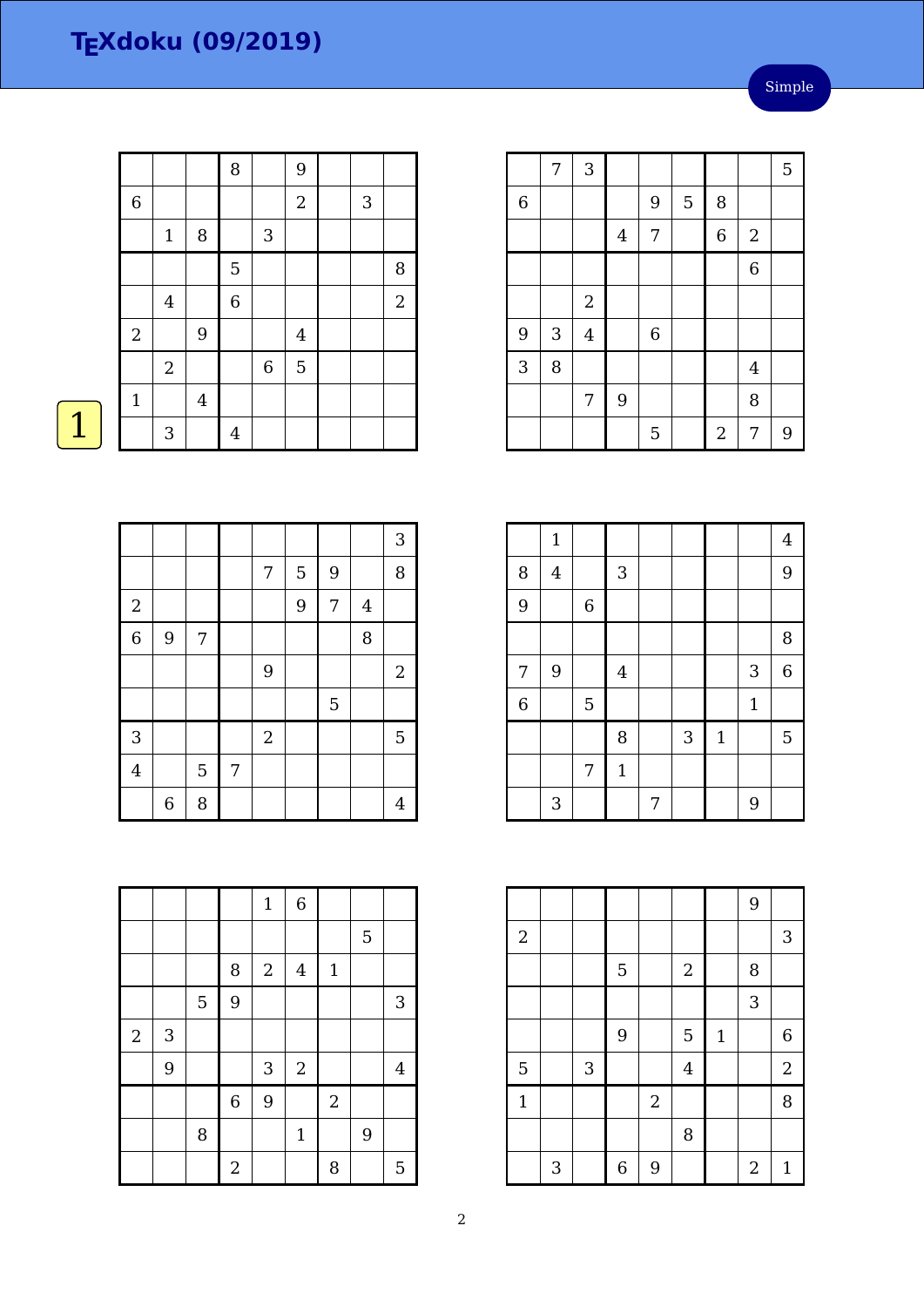|                  |                  |         | $\, 8$         |             | $\overline{9}$   |   |                |
|------------------|------------------|---------|----------------|-------------|------------------|---|----------------|
| $\,$ 6 $\,$      |                  |         |                |             | $\sqrt{2}$       | 3 |                |
|                  | $\mathbf 1$      | $\, 8$  |                | 3           |                  |   |                |
|                  |                  |         | 5              |             |                  |   | 8              |
|                  | $\boldsymbol{4}$ |         | $\overline{6}$ |             |                  |   | $\overline{c}$ |
| $\boldsymbol{2}$ |                  | $9\,$   |                |             | $\boldsymbol{4}$ |   |                |
|                  | $\sqrt{2}$       |         |                | $\,$ 6 $\,$ | $\overline{5}$   |   |                |
| $\mathbf{1}$     |                  | $\bf 4$ |                |             |                  |   |                |
|                  | $\sqrt{3}$       |         | $\overline{4}$ |             |                  |   |                |

|                | 7 | 3                       |                |             |   |                |                  | 5 |
|----------------|---|-------------------------|----------------|-------------|---|----------------|------------------|---|
| $\overline{6}$ |   |                         |                | 9           | 5 | 8              |                  |   |
|                |   |                         | $\overline{4}$ | 7           |   | 6              | $\boldsymbol{2}$ |   |
|                |   |                         |                |             |   |                | $\overline{6}$   |   |
|                |   | $\boldsymbol{2}$        |                |             |   |                |                  |   |
| 9              | 3 | $\overline{\mathbf{4}}$ |                | $\,$ 6 $\,$ |   |                |                  |   |
| $\overline{3}$ | 8 |                         |                |             |   |                | $\overline{4}$   |   |
|                |   | 7                       | 9              |             |   |                | 8                |   |
|                |   |                         |                | 5           |   | $\overline{c}$ | 7                | 9 |

|                | $1\,$          |             |                |   |   |             |             | $\overline{4}$ |
|----------------|----------------|-------------|----------------|---|---|-------------|-------------|----------------|
| 8              | $\overline{4}$ |             | $\sqrt{3}$     |   |   |             |             | 9              |
| $\overline{9}$ |                | $\,6\,$     |                |   |   |             |             |                |
|                |                |             |                |   |   |             |             | 8              |
| 7              | 9              |             | $\overline{4}$ |   |   |             | 3           | 6              |
| $\,$ 6 $\,$    |                | $\mathbf 5$ |                |   |   |             | $\mathbf 1$ |                |
|                |                |             | 8              |   | 3 | $\mathbf 1$ |             | 5              |
|                |                | 7           | $1\,$          |   |   |             |             |                |
|                | 3              |             |                | 7 |   |             | 9           |                |

|              |   |   |                  |                  |                |              | 9              |                  |
|--------------|---|---|------------------|------------------|----------------|--------------|----------------|------------------|
| $\sqrt{2}$   |   |   |                  |                  |                |              |                | $\sqrt{3}$       |
|              |   |   | 5                |                  | $\overline{2}$ |              | 8              |                  |
|              |   |   |                  |                  |                |              | 3              |                  |
|              |   |   | 9                |                  | 5              | $\mathbf{1}$ |                | $\boldsymbol{6}$ |
| 5            |   | 3 |                  |                  | $\overline{4}$ |              |                | $\boldsymbol{2}$ |
| $\mathbf{1}$ |   |   |                  | $\boldsymbol{2}$ |                |              |                | 8                |
|              |   |   |                  |                  | 8              |              |                |                  |
|              | 3 |   | $\boldsymbol{6}$ | 9                |                |              | $\overline{2}$ | $\mathbf{1}$     |

z

|                |                  |   |   |            |   |   |                | $\sqrt{3}$     |
|----------------|------------------|---|---|------------|---|---|----------------|----------------|
|                |                  |   |   | 7          | 5 | 9 |                | 8              |
| $\sqrt{2}$     |                  |   |   |            | 9 | 7 | $\overline{4}$ |                |
| $\overline{6}$ | 9                | 7 |   |            |   |   | 8              |                |
|                |                  |   |   | 9          |   |   |                | $\overline{2}$ |
|                |                  |   |   |            |   | 5 |                |                |
| 3              |                  |   |   | $\sqrt{2}$ |   |   |                | $\mathbf 5$    |
| $\overline{4}$ |                  | 5 | 7 |            |   |   |                |                |
|                | $\boldsymbol{6}$ | 8 |   |            |   |   |                | 4              |

|            |   |                |                  | $\mathbf 1$      | $\overline{6}$ |                |   |                |
|------------|---|----------------|------------------|------------------|----------------|----------------|---|----------------|
|            |   |                |                  |                  |                |                | 5 |                |
|            |   |                | $\, 8$           | $\boldsymbol{2}$ | $\overline{4}$ | $\mathbf 1$    |   |                |
|            |   | $\overline{5}$ | 9                |                  |                |                |   | 3              |
| $\sqrt{2}$ | 3 |                |                  |                  |                |                |   |                |
|            | 9 |                |                  | $\sqrt{3}$       | $\overline{c}$ |                |   | $\overline{4}$ |
|            |   |                | $\overline{6}$   | $\overline{9}$   |                | $\overline{2}$ |   |                |
|            |   | 8              |                  |                  | $\mathbf{1}$   |                | 9 |                |
|            |   |                | $\boldsymbol{2}$ |                  |                | 8              |   | 5              |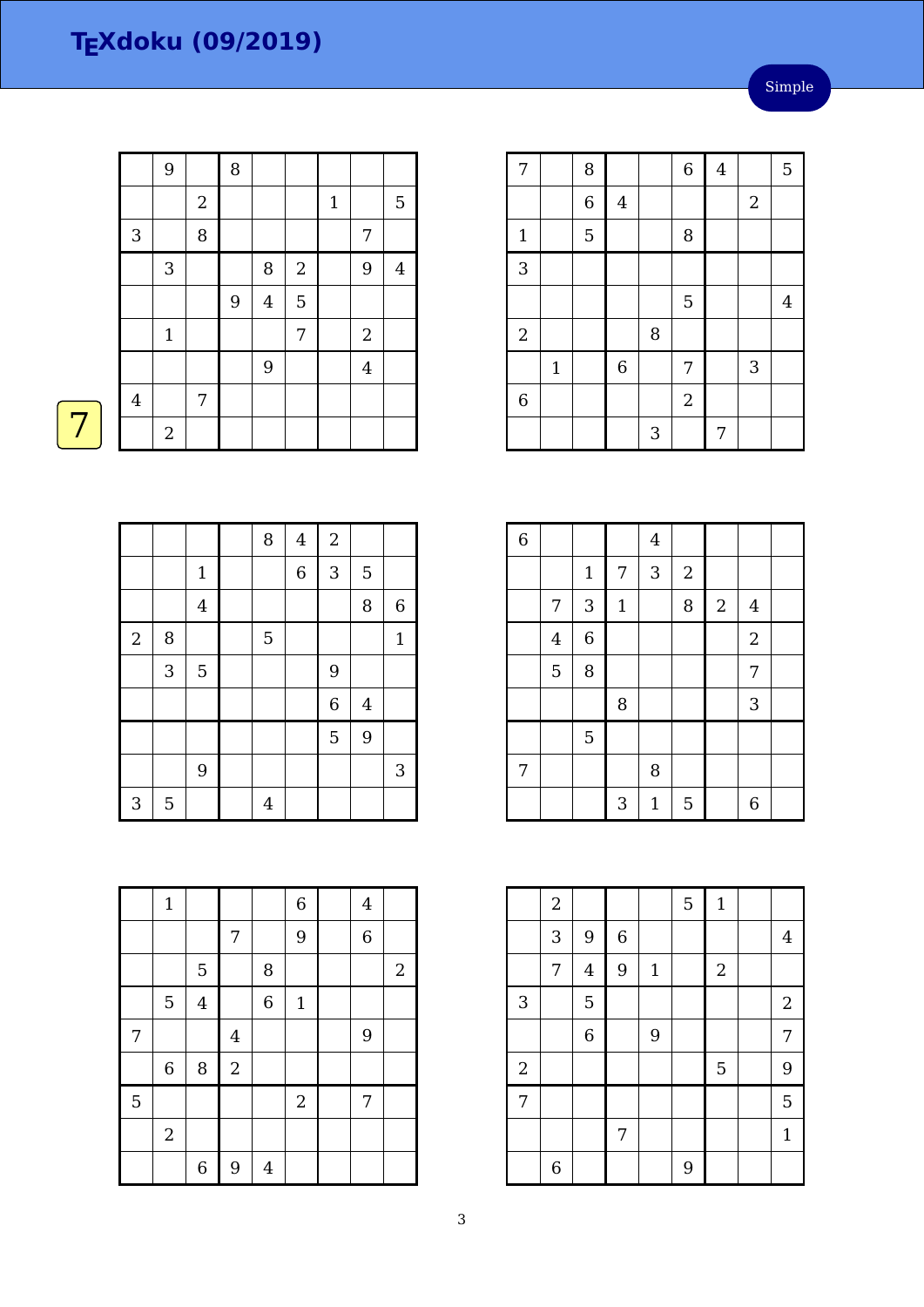|              | 9                |            | 8 |         |                |              |                |                |
|--------------|------------------|------------|---|---------|----------------|--------------|----------------|----------------|
|              |                  | $\sqrt{2}$ |   |         |                | $\mathbf{1}$ |                | 5              |
| $\mathbf{3}$ |                  | $\, 8$     |   |         |                |              | $\overline{7}$ |                |
|              | 3                |            |   | 8       | $\sqrt{2}$     |              | 9              | $\overline{4}$ |
|              |                  |            | 9 | $\bf 4$ | $\overline{5}$ |              |                |                |
|              | $\mathbf 1$      |            |   |         | 7              |              | $\sqrt{2}$     |                |
|              |                  |            |   | 9       |                |              | $\overline{4}$ |                |
| $\bf 4$      |                  | 7          |   |         |                |              |                |                |
|              | $\boldsymbol{2}$ |            |   |         |                |              |                |                |

| 7              |              | 8              |                |   | $\overline{6}$ | $\overline{\mathbf{4}}$ |            | 5              |
|----------------|--------------|----------------|----------------|---|----------------|-------------------------|------------|----------------|
|                |              | $\overline{6}$ | $\overline{4}$ |   |                |                         | $\sqrt{2}$ |                |
| $\mathbf 1$    |              | 5              |                |   | 8              |                         |            |                |
| $\overline{3}$ |              |                |                |   |                |                         |            |                |
|                |              |                |                |   | 5              |                         |            | $\overline{4}$ |
| $\overline{c}$ |              |                |                | 8 |                |                         |            |                |
|                | $\mathbf{1}$ |                | $\overline{6}$ |   | 7              |                         | 3          |                |
| $\overline{6}$ |              |                |                |   | $\overline{2}$ |                         |            |                |
|                |              |                |                | 3 |                | 7                       |            |                |

| $\overline{6}$ |                |                |              | $\overline{4}$ |            |            |                  |  |
|----------------|----------------|----------------|--------------|----------------|------------|------------|------------------|--|
|                |                | $\mathbf 1$    | 7            | 3              | $\sqrt{2}$ |            |                  |  |
|                | 7              | 3              | $\mathbf{1}$ |                | 8          | $\sqrt{2}$ | $\overline{4}$   |  |
|                | $\overline{4}$ | $\overline{6}$ |              |                |            |            | $\boldsymbol{2}$ |  |
|                | $\overline{5}$ | 8              |              |                |            |            | 7                |  |
|                |                |                | 8            |                |            |            | 3                |  |
|                |                | 5              |              |                |            |            |                  |  |
| 7              |                |                |              | 8              |            |            |                  |  |
|                |                |                | 3            | $\mathbf 1$    | 5          |            | 6                |  |

|                | $\overline{a}$ |                         |                  |              | 5 | $\mathbf{1}$ |                |
|----------------|----------------|-------------------------|------------------|--------------|---|--------------|----------------|
|                | 3              | 9                       | $\boldsymbol{6}$ |              |   |              | $\overline{4}$ |
|                | 7              | $\overline{\mathbf{4}}$ | 9                | $\mathbf{1}$ |   | $\sqrt{2}$   |                |
| 3              |                | 5                       |                  |              |   |              | $\overline{2}$ |
|                |                | $\overline{6}$          |                  | 9            |   |              | 7              |
| $\sqrt{2}$     |                |                         |                  |              |   | 5            | 9              |
| $\overline{7}$ |                |                         |                  |              |   |              | 5              |
|                |                |                         | 7                |              |   |              | $\mathbf{1}$   |
|                | 6              |                         |                  |              | 9 |              |                |

|--|--|

|            |   |                | 8 | $\bf 4$        | $\sqrt{2}$     |                |             |
|------------|---|----------------|---|----------------|----------------|----------------|-------------|
|            |   | $\mathbf 1$    |   | $\overline{6}$ | 3              | $\overline{5}$ |             |
|            |   | $\bf 4$        |   |                |                | 8              | $\,$ 6 $\,$ |
| $\sqrt{2}$ | 8 |                | 5 |                |                |                | $\mathbf 1$ |
|            | 3 | $\overline{5}$ |   |                | 9              |                |             |
|            |   |                |   |                | $\overline{6}$ | $\overline{4}$ |             |
|            |   |                |   |                | $\overline{5}$ | 9              |             |
|            |   | 9              |   |                |                |                | 3           |
| 3          | 5 |                | 4 |                |                |                |             |

|                  | $\mathbf{1}$   |                  |                  |                | $\,$ 6 $\,$  | $\overline{4}$ |            |
|------------------|----------------|------------------|------------------|----------------|--------------|----------------|------------|
|                  |                |                  | 7                |                | 9            | $\overline{6}$ |            |
|                  |                | 5                |                  | 8              |              |                | $\sqrt{2}$ |
|                  | $\mathbf 5$    | $\overline{4}$   |                  | $\overline{6}$ | $\mathbf{1}$ |                |            |
| $\boldsymbol{7}$ |                |                  | $\bf 4$          |                |              | 9              |            |
|                  | $\,$ 6 $\,$    | 8                | $\overline{2}$   |                |              |                |            |
| $\overline{5}$   |                |                  |                  |                | $\sqrt{2}$   | 7              |            |
|                  | $\overline{2}$ |                  |                  |                |              |                |            |
|                  |                | $\boldsymbol{6}$ | $\boldsymbol{9}$ | $\overline{4}$ |              |                |            |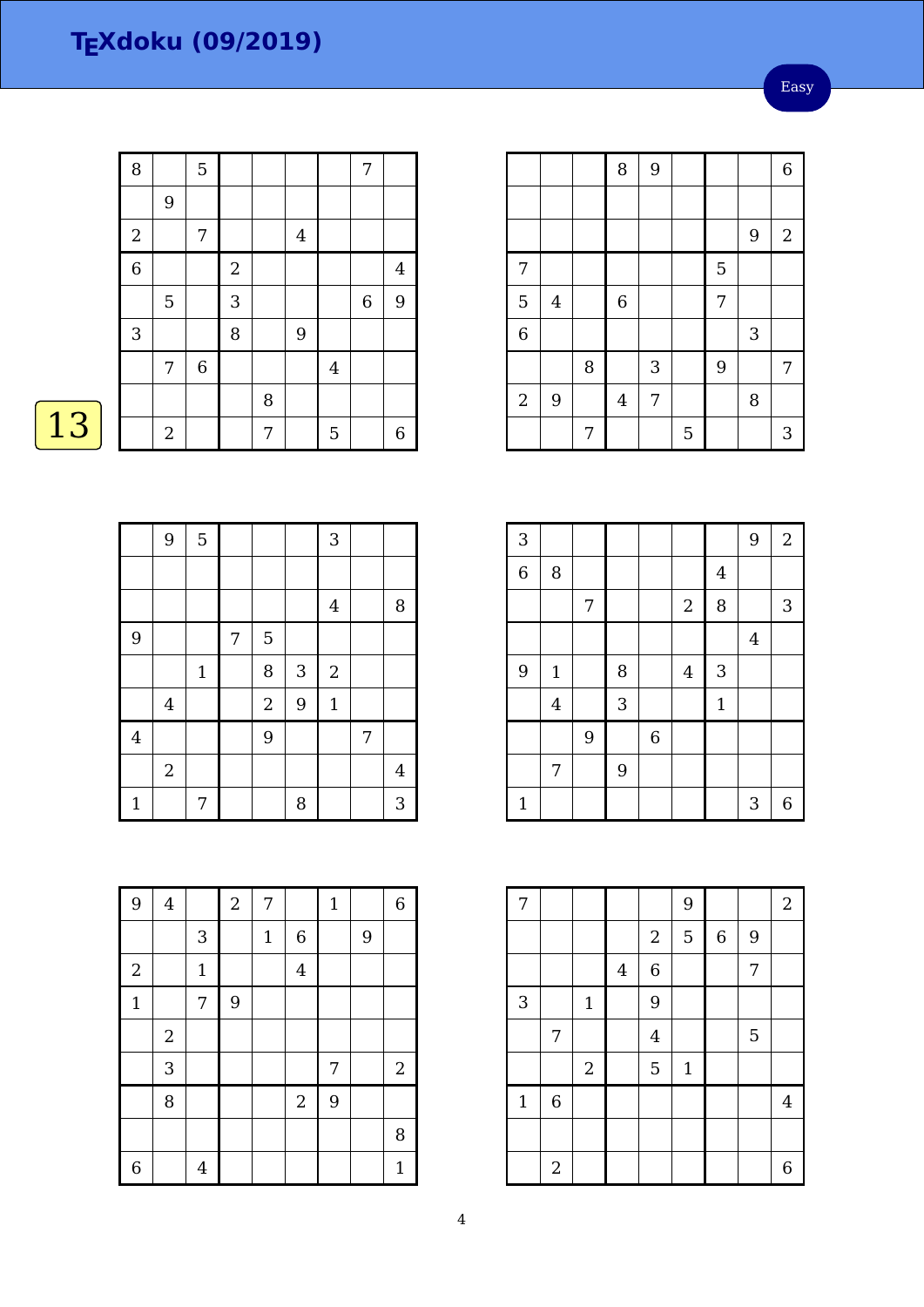Easy

|    | 8                         |              | $\overline{5}$ |                |   |                |         | 7 |                  |
|----|---------------------------|--------------|----------------|----------------|---|----------------|---------|---|------------------|
|    |                           | $9\,$        |                |                |   |                |         |   |                  |
|    | $\boldsymbol{2}$          |              | 7              |                |   | $\overline{4}$ |         |   |                  |
|    | $\overline{6}$            |              |                | $\overline{2}$ |   |                |         |   | $\overline{4}$   |
|    |                           | $\mathbf 5$  |                | 3              |   |                |         | 6 | 9                |
|    | $\ensuremath{\mathsf{3}}$ |              |                | 8              |   | $9$            |         |   |                  |
|    |                           | 7            | $\,$ 6 $\,$    |                |   |                | $\bf 4$ |   |                  |
|    |                           |              |                |                | 8 |                |         |   |                  |
| 13 |                           | $\mathbf{2}$ |                |                | 7 |                | 5       |   | $\boldsymbol{6}$ |
|    |                           |              |                |                |   |                |         |   |                  |

|                |                         |   | 8                | 9 |   |   |   | 6              |
|----------------|-------------------------|---|------------------|---|---|---|---|----------------|
|                |                         |   |                  |   |   |   |   |                |
|                |                         |   |                  |   |   |   | 9 | $\overline{2}$ |
| 7              |                         |   |                  |   |   | 5 |   |                |
| 5              | $\overline{\mathbf{4}}$ |   | $\boldsymbol{6}$ |   |   | 7 |   |                |
| $\overline{6}$ |                         |   |                  |   |   |   | 3 |                |
|                |                         | 8 |                  | 3 |   | 9 |   | 7              |
| $\sqrt{2}$     | 9                       |   | $\overline{4}$   | 7 |   |   | 8 |                |
|                |                         | 7 |                  |   | 5 |   |   | 3              |

| 3              |                |   |   |                |                |                | 9       | $\overline{2}$ |
|----------------|----------------|---|---|----------------|----------------|----------------|---------|----------------|
| $\overline{6}$ | 8              |   |   |                |                | $\overline{4}$ |         |                |
|                |                | 7 |   |                | $\sqrt{2}$     | 8              |         | 3              |
|                |                |   |   |                |                |                | $\bf 4$ |                |
| 9              | $1\,$          |   | 8 |                | $\overline{4}$ | 3              |         |                |
|                | $\overline{4}$ |   | 3 |                |                | $\mathbf{1}$   |         |                |
|                |                | 9 |   | $\overline{6}$ |                |                |         |                |
|                | 7              |   | 9 |                |                |                |         |                |
| $\mathbf{1}$   |                |   |   |                |                |                | 3       | 6              |

| 7            |                |                         |         |                | 9            |             |   | $\boldsymbol{2}$ |
|--------------|----------------|-------------------------|---------|----------------|--------------|-------------|---|------------------|
|              |                |                         |         | $\sqrt{2}$     | 5            | $\,$ 6 $\,$ | 9 |                  |
|              |                |                         | $\bf 4$ | $\overline{6}$ |              |             | 7 |                  |
| 3            |                | $\mathbf{1}$            |         | 9              |              |             |   |                  |
|              | 7              |                         |         | $\overline{4}$ |              |             | 5 |                  |
|              |                | $\overline{\mathbf{c}}$ |         | 5              | $\mathbf{1}$ |             |   |                  |
| $\mathbf{1}$ | $\,$ 6 $\,$    |                         |         |                |              |             |   | $\overline{4}$   |
|              |                |                         |         |                |              |             |   |                  |
|              | $\overline{2}$ |                         |         |                |              |             |   | 6                |

| ٠ |
|---|
|   |

|                | 9              | 5           |   |                |   | $\overline{3}$ |   |   |
|----------------|----------------|-------------|---|----------------|---|----------------|---|---|
|                |                |             |   |                |   |                |   |   |
|                |                |             |   |                |   | $\bf 4$        |   | 8 |
| 9              |                |             | 7 | 5              |   |                |   |   |
|                |                | $\mathbf 1$ |   | 8              | 3 | $\sqrt{2}$     |   |   |
|                | $\overline{4}$ |             |   | $\overline{c}$ | 9 | $\mathbf{1}$   |   |   |
| $\overline{4}$ |                |             |   | 9              |   |                | 7 |   |
|                | $\overline{2}$ |             |   |                |   |                |   | 4 |
| $\mathbf{1}$   |                | 7           |   |                | 8 |                |   | 3 |

| 9              | $\overline{\mathbf{4}}$ |                           | $\boldsymbol{2}$ | 7           |                | $\mathbf 1$ |   | $\,$ 6 $\,$  |
|----------------|-------------------------|---------------------------|------------------|-------------|----------------|-------------|---|--------------|
|                |                         | $\ensuremath{\mathsf{3}}$ |                  | $\mathbf 1$ | $\overline{6}$ |             | 9 |              |
| $\overline{2}$ |                         | $1\,$                     |                  |             | $\overline{4}$ |             |   |              |
| $\mathbf{1}$   |                         | 7                         | 9                |             |                |             |   |              |
|                | $\sqrt{2}$              |                           |                  |             |                |             |   |              |
|                | 3                       |                           |                  |             |                | 7           |   | $\sqrt{2}$   |
|                | 8                       |                           |                  |             | $\overline{c}$ | 9           |   |              |
|                |                         |                           |                  |             |                |             |   | 8            |
| $\overline{6}$ |                         | $\overline{4}$            |                  |             |                |             |   | $\mathbf{1}$ |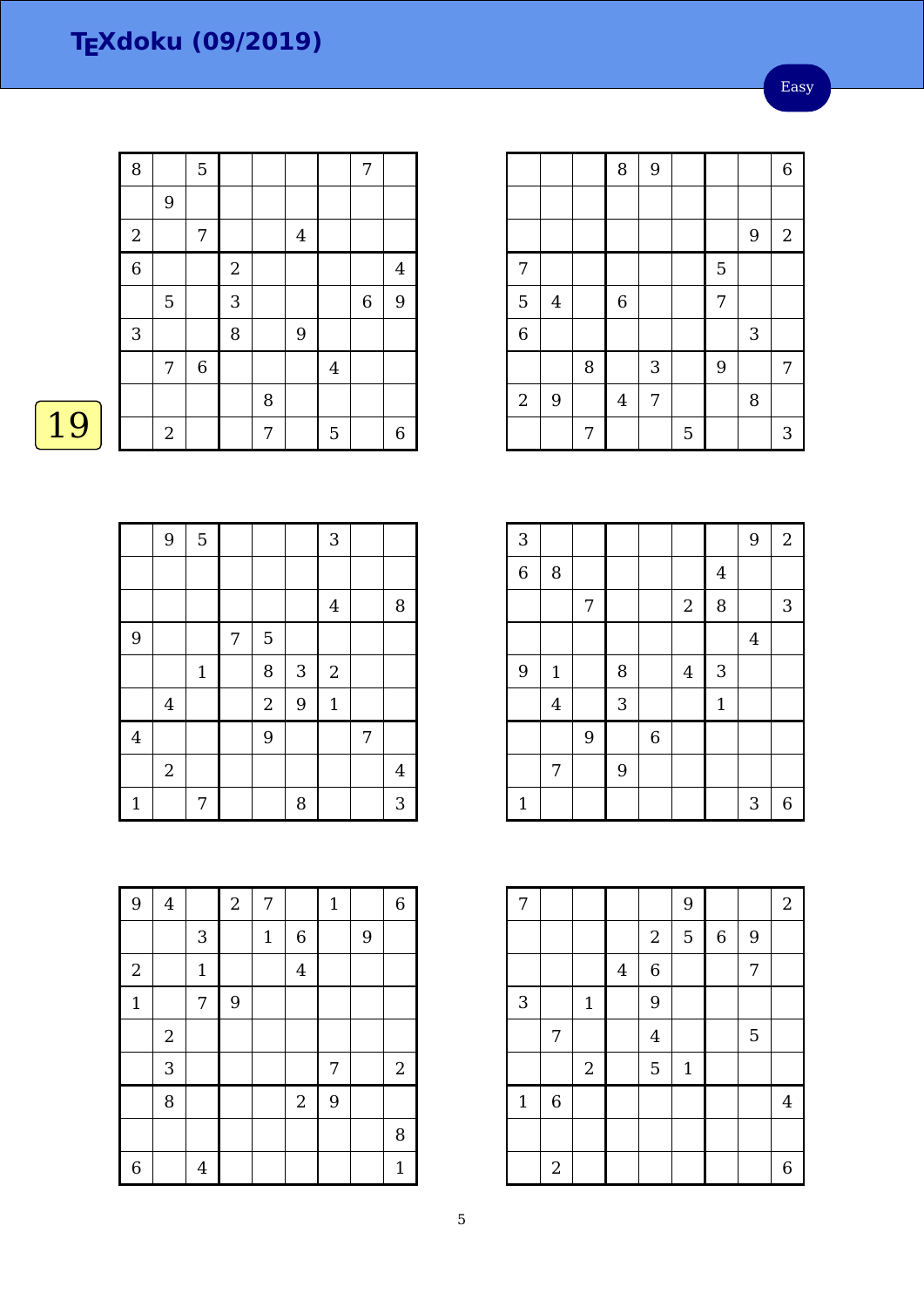Easy

|    | 8                         |                  | $\overline{5}$ |                |   |         |                | 7 |                         |
|----|---------------------------|------------------|----------------|----------------|---|---------|----------------|---|-------------------------|
|    |                           | $\boldsymbol{9}$ |                |                |   |         |                |   |                         |
|    | $\boldsymbol{2}$          |                  | 7              |                |   | $\bf 4$ |                |   |                         |
|    | $\overline{6}$            |                  |                | $\overline{2}$ |   |         |                |   | $\overline{\mathbf{4}}$ |
|    |                           | $\mathbf 5$      |                | 3              |   |         |                | 6 | 9                       |
|    | $\ensuremath{\mathsf{3}}$ |                  |                | 8              |   | $9\,$   |                |   |                         |
|    |                           | 7                | $\,$ 6 $\,$    |                |   |         | $\overline{4}$ |   |                         |
|    |                           |                  |                |                | 8 |         |                |   |                         |
| 19 |                           | $\overline{2}$   |                |                | 7 |         | 5              |   | $\boldsymbol{6}$        |
|    |                           |                  |                |                |   |         |                |   |                         |

|                |                         |   | 8              | 9 |   |   |   | 6              |
|----------------|-------------------------|---|----------------|---|---|---|---|----------------|
|                |                         |   |                |   |   |   |   |                |
|                |                         |   |                |   |   |   | 9 | $\overline{a}$ |
| 7              |                         |   |                |   |   | 5 |   |                |
| 5              | $\overline{\mathbf{4}}$ |   | $\,$ 6 $\,$    |   |   | 7 |   |                |
| $\overline{6}$ |                         |   |                |   |   |   | 3 |                |
|                |                         | 8 |                | 3 |   | 9 |   | 7              |
| $\sqrt{2}$     | 9                       |   | $\overline{4}$ | 7 |   |   | 8 |                |
|                |                         | 7 |                |   | 5 |   |   | 3              |

| $\overline{3}$ |                |   |   |                |                |              | 9       | $\overline{2}$   |
|----------------|----------------|---|---|----------------|----------------|--------------|---------|------------------|
| $\overline{6}$ | 8              |   |   |                |                | $\bf 4$      |         |                  |
|                |                | 7 |   |                | $\sqrt{2}$     | 8            |         | 3                |
|                |                |   |   |                |                |              | $\bf 4$ |                  |
| 9              | $\mathbf{1}$   |   | 8 |                | $\overline{4}$ | 3            |         |                  |
|                | $\overline{4}$ |   | 3 |                |                | $\mathbf{1}$ |         |                  |
|                |                | 9 |   | $\overline{6}$ |                |              |         |                  |
|                | 7              |   | 9 |                |                |              |         |                  |
| $\mathbf{1}$   |                |   |   |                |                |              | 3       | $\boldsymbol{6}$ |

| 7            |                |                |         |                  | 9           |         |                | $\boldsymbol{2}$ |
|--------------|----------------|----------------|---------|------------------|-------------|---------|----------------|------------------|
|              |                |                |         | $\boldsymbol{2}$ | 5           | $\,6\,$ | 9              |                  |
|              |                |                | $\bf 4$ | $\overline{6}$   |             |         | $\overline{7}$ |                  |
| 3            |                | $\mathbf{1}$   |         | 9                |             |         |                |                  |
|              | 7              |                |         | $\overline{4}$   |             |         | 5              |                  |
|              |                | $\overline{2}$ |         | 5                | $\mathbf 1$ |         |                |                  |
| $\mathbf{1}$ | $\,$ 6 $\,$    |                |         |                  |             |         |                | $\overline{4}$   |
|              |                |                |         |                  |             |         |                |                  |
|              | $\overline{2}$ |                |         |                  |             |         |                | 6                |

|                | $\overline{9}$ | 5           |   |                |   | 3              |   |   |
|----------------|----------------|-------------|---|----------------|---|----------------|---|---|
|                |                |             |   |                |   |                |   |   |
|                |                |             |   |                |   | $\overline{4}$ |   | 8 |
| 9              |                |             | 7 | 5              |   |                |   |   |
|                |                | $\mathbf 1$ |   | 8              | 3 | $\sqrt{2}$     |   |   |
|                | $\bf 4$        |             |   | $\overline{c}$ | 9 | $\mathbf 1$    |   |   |
| $\overline{4}$ |                |             |   | 9              |   |                | 7 |   |
|                | $\overline{2}$ |             |   |                |   |                |   | 4 |
| $\mathbf{1}$   |                | 7           |   |                | 8 |                |   | 3 |

| 9              | $\overline{\mathbf{4}}$ |                           | $\overline{2}$ | 7           |                  | $\mathbf 1$ |   | $\,$ 6 $\,$  |
|----------------|-------------------------|---------------------------|----------------|-------------|------------------|-------------|---|--------------|
|                |                         | $\ensuremath{\mathsf{3}}$ |                | $\mathbf 1$ | $\boldsymbol{6}$ |             | 9 |              |
| $\sqrt{2}$     |                         | $\mathbf{1}$              |                |             | $\bf 4$          |             |   |              |
| $\mathbf{1}$   |                         | 7                         | 9              |             |                  |             |   |              |
|                | $\sqrt{2}$              |                           |                |             |                  |             |   |              |
|                | 3                       |                           |                |             |                  | 7           |   | $\sqrt{2}$   |
|                | 8                       |                           |                |             | $\overline{a}$   | 9           |   |              |
|                |                         |                           |                |             |                  |             |   | 8            |
| $\overline{6}$ |                         | $\overline{4}$            |                |             |                  |             |   | $\mathbf{1}$ |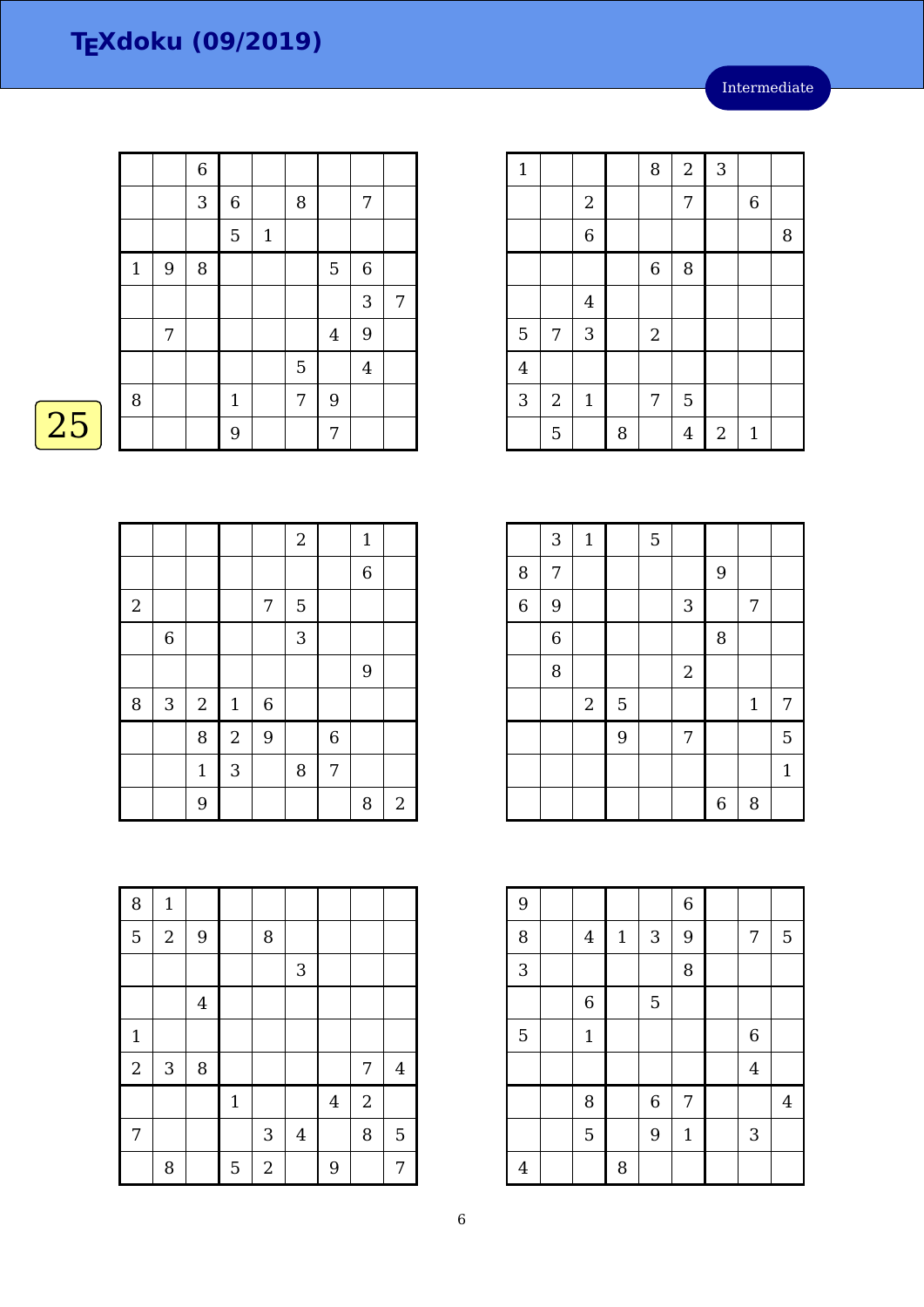Intermediate

|    |              |   | $\boldsymbol{6}$ |              |       |   |                |                |   |
|----|--------------|---|------------------|--------------|-------|---|----------------|----------------|---|
|    |              |   | 3                | 6            |       | 8 |                | 7              |   |
|    |              |   |                  | 5            | $1\,$ |   |                |                |   |
|    | $\mathbf{1}$ | 9 | 8                |              |       |   | 5              | $\,$ 6 $\,$    |   |
|    |              |   |                  |              |       |   |                | 3              | 7 |
|    |              | 7 |                  |              |       |   | $\overline{4}$ | 9              |   |
|    |              |   |                  |              |       | 5 |                | $\overline{4}$ |   |
|    | 8            |   |                  | $\mathbf{1}$ |       | 7 | 9              |                |   |
| 25 |              |   |                  | 9            |       |   | 7              |                |   |
|    |              |   |                  |              |       |   |                |                |   |

|            |                           |       |                           |       | $\overline{2}$ |                | $1\,$          |              |
|------------|---------------------------|-------|---------------------------|-------|----------------|----------------|----------------|--------------|
|            |                           |       |                           |       |                |                | $\overline{6}$ |              |
| $\sqrt{2}$ |                           |       |                           | 7     | 5              |                |                |              |
|            | $\,6\,$                   |       |                           |       | 3              |                |                |              |
|            |                           |       |                           |       |                |                | $\overline{9}$ |              |
| 8          | $\ensuremath{\mathsf{3}}$ | $\,2$ | $\mathbf{1}$              | $\,6$ |                |                |                |              |
|            |                           | 8     | $\sqrt{2}$                | 9     |                | $\overline{6}$ |                |              |
|            |                           | $1\,$ | $\ensuremath{\mathsf{3}}$ |       | 8              | 7              |                |              |
|            |                           | 9     |                           |       |                |                | 8              | $\mathbf{2}$ |

| 8              | $\mathbf 1$      |                |              |            |                |                |                  |                |
|----------------|------------------|----------------|--------------|------------|----------------|----------------|------------------|----------------|
| 5              | $\boldsymbol{2}$ | 9              |              | 8          |                |                |                  |                |
|                |                  |                |              |            | 3              |                |                  |                |
|                |                  | $\overline{4}$ |              |            |                |                |                  |                |
| $\mathbf{1}$   |                  |                |              |            |                |                |                  |                |
| $\overline{2}$ | 3                | 8              |              |            |                |                | 7                | $\overline{4}$ |
|                |                  |                | $\mathbf{1}$ |            |                | $\overline{4}$ | $\boldsymbol{2}$ |                |
| 7              |                  |                |              | $\sqrt{3}$ | $\overline{4}$ |                | 8                | 5              |
|                | 8                |                | 5            | $\sqrt{2}$ |                | 9              |                  | 7              |

| $\mathbf{1}$   |            |                |   | 8           | $\sqrt{2}$     | $\mathbf{3}$ |              |   |
|----------------|------------|----------------|---|-------------|----------------|--------------|--------------|---|
|                |            | $\overline{2}$ |   |             | 7              |              | 6            |   |
|                |            | 6              |   |             |                |              |              | 8 |
|                |            |                |   | $\,$ 6 $\,$ | 8              |              |              |   |
|                |            | $\overline{4}$ |   |             |                |              |              |   |
| $\overline{5}$ | 7          | 3              |   | $\sqrt{2}$  |                |              |              |   |
| $\overline{4}$ |            |                |   |             |                |              |              |   |
| 3              | $\sqrt{2}$ | $\mathbf{1}$   |   | 7           | 5              |              |              |   |
|                | 5          |                | 8 |             | $\overline{4}$ | $\sqrt{2}$   | $\mathbf{1}$ |   |

L

|   | 3              | $\mathbf{1}$ |                | 5 |                  |                  |       |              |
|---|----------------|--------------|----------------|---|------------------|------------------|-------|--------------|
| 8 | 7              |              |                |   |                  | 9                |       |              |
| 6 | 9              |              |                |   | 3                |                  | 7     |              |
|   | $\overline{6}$ |              |                |   |                  | 8                |       |              |
|   | 8              |              |                |   | $\boldsymbol{2}$ |                  |       |              |
|   |                | $\sqrt{2}$   | $\overline{5}$ |   |                  |                  | $1\,$ | 7            |
|   |                |              | 9              |   | 7                |                  |       | 5            |
|   |                |              |                |   |                  |                  |       | $\mathbf{1}$ |
|   |                |              |                |   |                  | $\boldsymbol{6}$ | 8     |              |

| 9              |                |       |                  | $\,$ 6 $\,$  |                |                |
|----------------|----------------|-------|------------------|--------------|----------------|----------------|
| 8              | $\bf 4$        | $1\,$ | 3                | 9            | $\overline{7}$ | 5              |
| 3              |                |       |                  | 8            |                |                |
|                | $\overline{6}$ |       | 5                |              |                |                |
| 5              | $1\,$          |       |                  |              | 6              |                |
|                |                |       |                  |              | $\overline{4}$ |                |
|                | 8              |       | $\boldsymbol{6}$ | 7            |                | $\overline{4}$ |
|                | 5              |       | 9                | $\mathbf{1}$ | 3              |                |
| $\overline{4}$ |                | 8     |                  |              |                |                |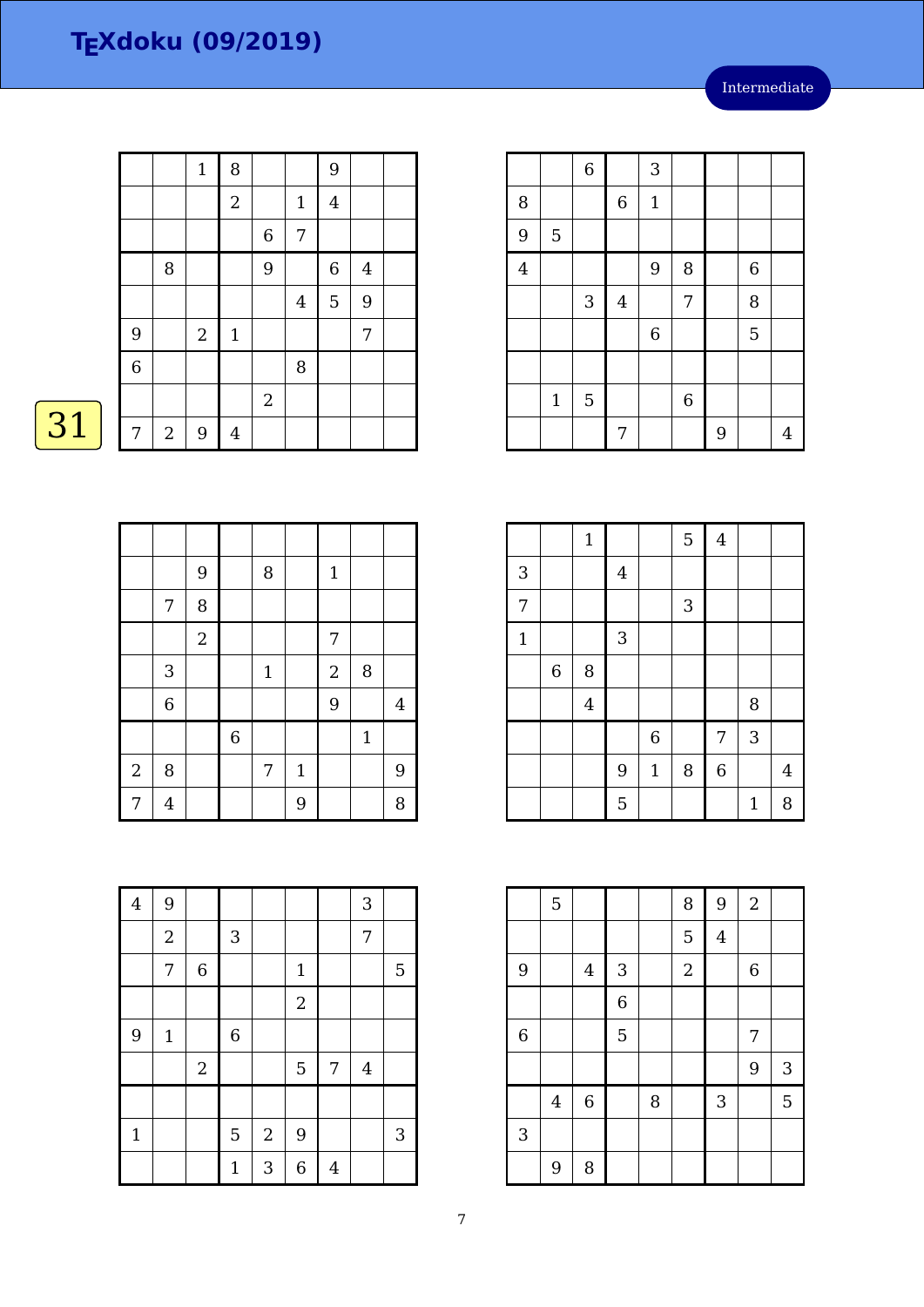|    |                |            | $\mathbf{1}$ | 8                |            |                | 9              |                  |  |
|----|----------------|------------|--------------|------------------|------------|----------------|----------------|------------------|--|
|    |                |            |              | $\boldsymbol{2}$ |            | $1\,$          | $\overline{4}$ |                  |  |
|    |                |            |              |                  | $\,6\,$    | $\overline{7}$ |                |                  |  |
|    |                | 8          |              |                  | 9          |                | $\,6\,$        | $\boldsymbol{4}$ |  |
|    |                |            |              |                  |            | $\overline{4}$ | 5              | 9                |  |
|    | 9              |            | $\mathbf{2}$ | $1\,$            |            |                |                | $\overline{7}$   |  |
|    | $\overline{6}$ |            |              |                  |            | 8              |                |                  |  |
|    |                |            |              |                  | $\sqrt{2}$ |                |                |                  |  |
| 31 | 7              | $\sqrt{2}$ | 9            | $\overline{4}$   |            |                |                |                  |  |

|            |                | 9              |             | $\, 8$       |       | $\mathbf 1$    |             |                |
|------------|----------------|----------------|-------------|--------------|-------|----------------|-------------|----------------|
|            | 7              | 8              |             |              |       |                |             |                |
|            |                | $\overline{2}$ |             |              |       | $\overline{7}$ |             |                |
|            | $\mathbf{3}$   |                |             | $\mathbf{1}$ |       | $\overline{2}$ | $\, 8$      |                |
|            | 6              |                |             |              |       | 9              |             | $\overline{4}$ |
|            |                |                | $\,$ 6 $\,$ |              |       |                | $\mathbf 1$ |                |
| $\sqrt{2}$ | 8              |                |             | 7            | $1\,$ |                |             | $\overline{9}$ |
| 7          | $\overline{4}$ |                |             |              | 9     |                |             | 8              |

|                |                | $\overline{6}$ |             | 3           |             |   |                |   |
|----------------|----------------|----------------|-------------|-------------|-------------|---|----------------|---|
| 8              |                |                | $\,$ 6 $\,$ | $1\,$       |             |   |                |   |
| 9              | $\overline{5}$ |                |             |             |             |   |                |   |
| $\overline{4}$ |                |                |             | 9           | 8           |   | $\overline{6}$ |   |
|                |                | 3              | $\bf 4$     |             | 7           |   | 8              |   |
|                |                |                |             | $\,$ 6 $\,$ |             |   | 5              |   |
|                |                |                |             |             |             |   |                |   |
|                | $\mathbf{1}$   | $\overline{5}$ |             |             | $\,$ 6 $\,$ |   |                |   |
|                |                |                | 7           |             |             | 9 |                | 4 |

|                |             | $\mathbf 1$    |                |                | 5 | $\bf 4$     |              |                |
|----------------|-------------|----------------|----------------|----------------|---|-------------|--------------|----------------|
| 3              |             |                | $\overline{4}$ |                |   |             |              |                |
| $\overline{7}$ |             |                |                |                | 3 |             |              |                |
| $\mathbf 1$    |             |                | 3              |                |   |             |              |                |
|                | $\,$ 6 $\,$ | 8              |                |                |   |             |              |                |
|                |             | $\overline{4}$ |                |                |   |             | 8            |                |
|                |             |                |                | $\overline{6}$ |   | 7           | 3            |                |
|                |             |                | 9              | $\mathbf 1$    | 8 | $\,$ 6 $\,$ |              | $\overline{4}$ |
|                |             |                | 5              |                |   |             | $\mathbf{1}$ | 8              |

|             | $\overline{5}$ |                |                |   | 8              | 9                       | $\sqrt{2}$       |            |
|-------------|----------------|----------------|----------------|---|----------------|-------------------------|------------------|------------|
|             |                |                |                |   | 5              | $\overline{\mathbf{4}}$ |                  |            |
| 9           |                | $\overline{4}$ | 3              |   | $\overline{2}$ |                         | $\boldsymbol{6}$ |            |
|             |                |                | $\overline{6}$ |   |                |                         |                  |            |
| $\,$ 6 $\,$ |                |                | 5              |   |                |                         | 7                |            |
|             |                |                |                |   |                |                         | 9                | $\sqrt{3}$ |
|             | $\overline{4}$ | $\overline{6}$ |                | 8 |                | 3                       |                  | 5          |
| 3           |                |                |                |   |                |                         |                  |            |
|             | 9              | 8              |                |   |                |                         |                  |            |

| $\overline{4}$ | 9                |                |              |                  |                |                | 3              |   |
|----------------|------------------|----------------|--------------|------------------|----------------|----------------|----------------|---|
|                |                  |                |              |                  |                |                |                |   |
|                | $\boldsymbol{2}$ |                | $\mathbf{3}$ |                  |                |                | 7              |   |
|                | 7                | $\overline{6}$ |              |                  | $\mathbf{1}$   |                |                | 5 |
|                |                  |                |              |                  | $\overline{2}$ |                |                |   |
| 9              | $1\,$            |                | $\,$ 6 $\,$  |                  |                |                |                |   |
|                |                  | $\sqrt{2}$     |              |                  | 5              | 7              | $\overline{4}$ |   |
|                |                  |                |              |                  |                |                |                |   |
| $\mathbf{1}$   |                  |                | 5            | $\boldsymbol{2}$ | 9              |                |                | 3 |
|                |                  |                | $\mathbf{1}$ | 3                | 6              | $\overline{4}$ |                |   |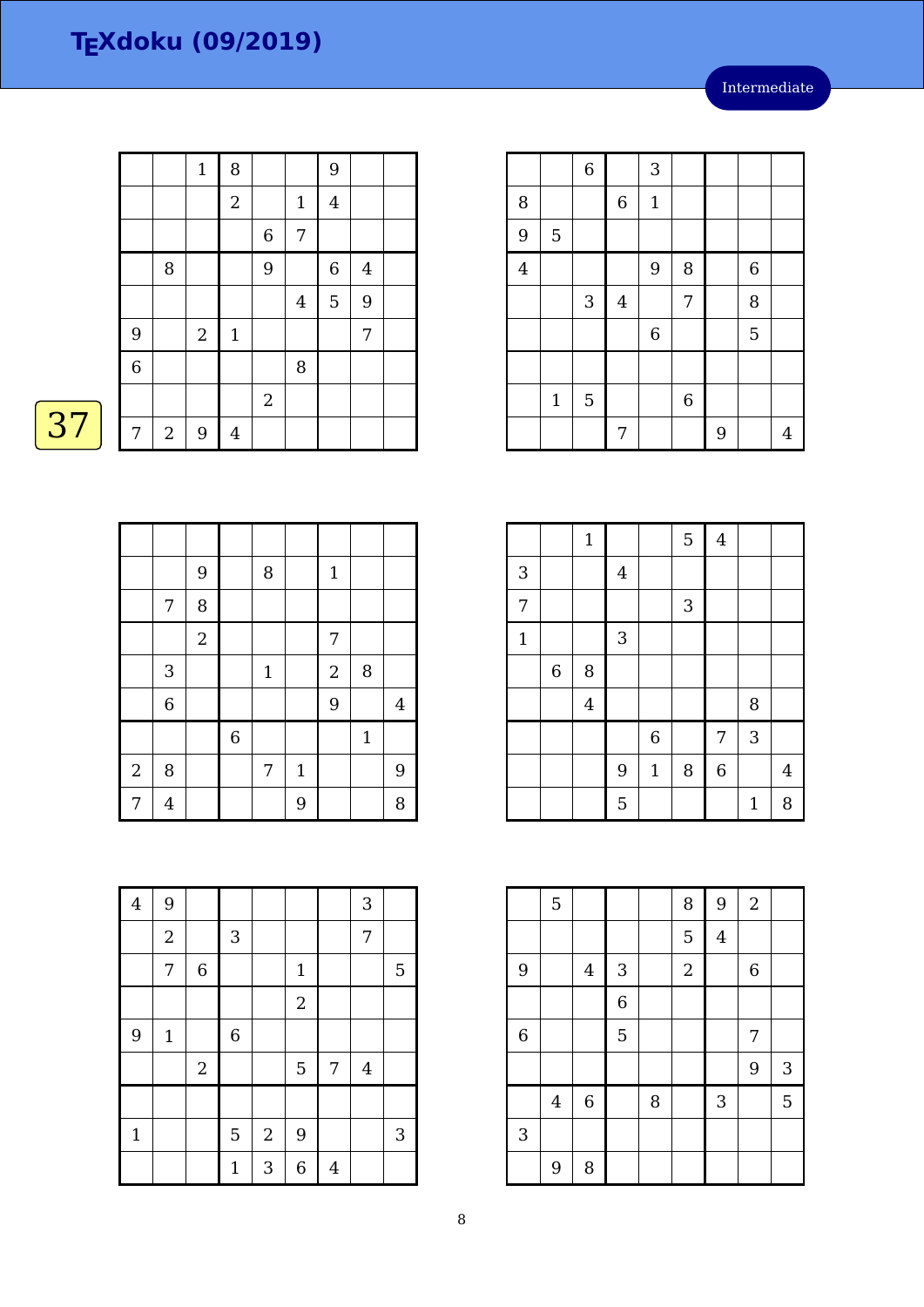|    |                |            | $\mathbf{1}$   | 8                |            |                | 9              |                |  |
|----|----------------|------------|----------------|------------------|------------|----------------|----------------|----------------|--|
|    |                |            |                | $\boldsymbol{2}$ |            | $1\,$          | $\overline{4}$ |                |  |
|    |                |            |                |                  | $\,6\,$    | $\sqrt{ }$     |                |                |  |
|    |                | 8          |                |                  | 9          |                | $\,$ 6 $\,$    | $\overline{4}$ |  |
|    |                |            |                |                  |            | $\overline{4}$ | $\overline{5}$ | 9              |  |
|    | 9              |            | $\overline{2}$ | $\mathbf{1}$     |            |                |                | 7              |  |
|    | $\overline{6}$ |            |                |                  |            | 8              |                |                |  |
|    |                |            |                |                  | $\sqrt{2}$ |                |                |                |  |
| 37 | 7              | $\sqrt{2}$ | 9              | $\overline{4}$   |            |                |                |                |  |

|                |                | 9              |             | $\, 8$       |              | $\mathbf{1}$   |              |                |
|----------------|----------------|----------------|-------------|--------------|--------------|----------------|--------------|----------------|
|                | 7              | 8              |             |              |              |                |              |                |
|                |                | $\overline{2}$ |             |              |              | 7              |              |                |
|                | 3              |                |             | $\mathbf{1}$ |              | $\overline{c}$ | 8            |                |
|                | $\overline{6}$ |                |             |              |              | 9              |              | $\overline{4}$ |
|                |                |                | $\,$ 6 $\,$ |              |              |                | $\mathbf{1}$ |                |
| $\overline{a}$ | 8              |                |             | 7            | $\mathbf{1}$ |                |              | 9              |
| $\overline{7}$ | $\overline{4}$ |                |             |              | 9            |                |              | 8              |

|                |             | $\overline{6}$ |                | 3            |                |   |   |   |
|----------------|-------------|----------------|----------------|--------------|----------------|---|---|---|
| 8              |             |                | $\,6\,$        | $\mathbf{1}$ |                |   |   |   |
| $\overline{9}$ | $\mathbf 5$ |                |                |              |                |   |   |   |
| $\overline{4}$ |             |                |                | 9            | 8              |   | 6 |   |
|                |             | 3              | $\overline{4}$ |              | 7              |   | 8 |   |
|                |             |                |                | $\,$ 6 $\,$  |                |   | 5 |   |
|                |             |                |                |              |                |   |   |   |
|                | $\mathbf 1$ | $\overline{5}$ |                |              | $\overline{6}$ |   |   |   |
|                |             |                | 7              |              |                | 9 |   | 4 |

|                |       | $\mathbf 1$             |              |              | 5 | $\bf 4$     |              |                |
|----------------|-------|-------------------------|--------------|--------------|---|-------------|--------------|----------------|
| 3              |       |                         | $\bf 4$      |              |   |             |              |                |
| $\overline{7}$ |       |                         |              |              | 3 |             |              |                |
| $\mathbf{1}$   |       |                         | $\mathbf{3}$ |              |   |             |              |                |
|                | $\,6$ | 8                       |              |              |   |             |              |                |
|                |       | $\overline{\mathbf{4}}$ |              |              |   |             | 8            |                |
|                |       |                         |              | $\,$ 6 $\,$  |   | 7           | 3            |                |
|                |       |                         | 9            | $\mathbf{1}$ | 8 | $\,$ 6 $\,$ |              | $\overline{4}$ |
|                |       |                         | 5            |              |   |             | $\mathbf{1}$ | 8              |

|                | $\mathbf 5$    |                |                |   | 8              | 9                       | $\sqrt{2}$  |                           |
|----------------|----------------|----------------|----------------|---|----------------|-------------------------|-------------|---------------------------|
|                |                |                |                |   | 5              | $\overline{\mathbf{4}}$ |             |                           |
| 9              |                | $\overline{4}$ | 3              |   | $\overline{2}$ |                         | $\,$ 6 $\,$ |                           |
|                |                |                | $\overline{6}$ |   |                |                         |             |                           |
| $\overline{6}$ |                |                | 5              |   |                |                         | 7           |                           |
|                |                |                |                |   |                |                         | 9           | $\ensuremath{\mathsf{3}}$ |
|                | $\overline{4}$ | $\overline{6}$ |                | 8 |                | 3                       |             | 5                         |
| 3              |                |                |                |   |                |                         |             |                           |
|                | 9              | 8              |                |   |                |                         |             |                           |

| $\overline{4}$ | 9           |             |                |                  |                |                | 3              |   |
|----------------|-------------|-------------|----------------|------------------|----------------|----------------|----------------|---|
|                | $\sqrt{2}$  |             | $\mathbf{3}$   |                  |                |                | $\overline{7}$ |   |
|                | 7           | $\,$ 6 $\,$ |                |                  | $\mathbf 1$    |                |                | 5 |
|                |             |             |                |                  | $\overline{2}$ |                |                |   |
| 9              | $\mathbf 1$ |             | $\overline{6}$ |                  |                |                |                |   |
|                |             | $\,2$       |                |                  | 5              | 7              | $\overline{4}$ |   |
|                |             |             |                |                  |                |                |                |   |
| $\mathbf{1}$   |             |             | 5              | $\boldsymbol{2}$ | 9              |                |                | 3 |
|                |             |             | $\mathbf 1$    | 3                | 6              | $\overline{4}$ |                |   |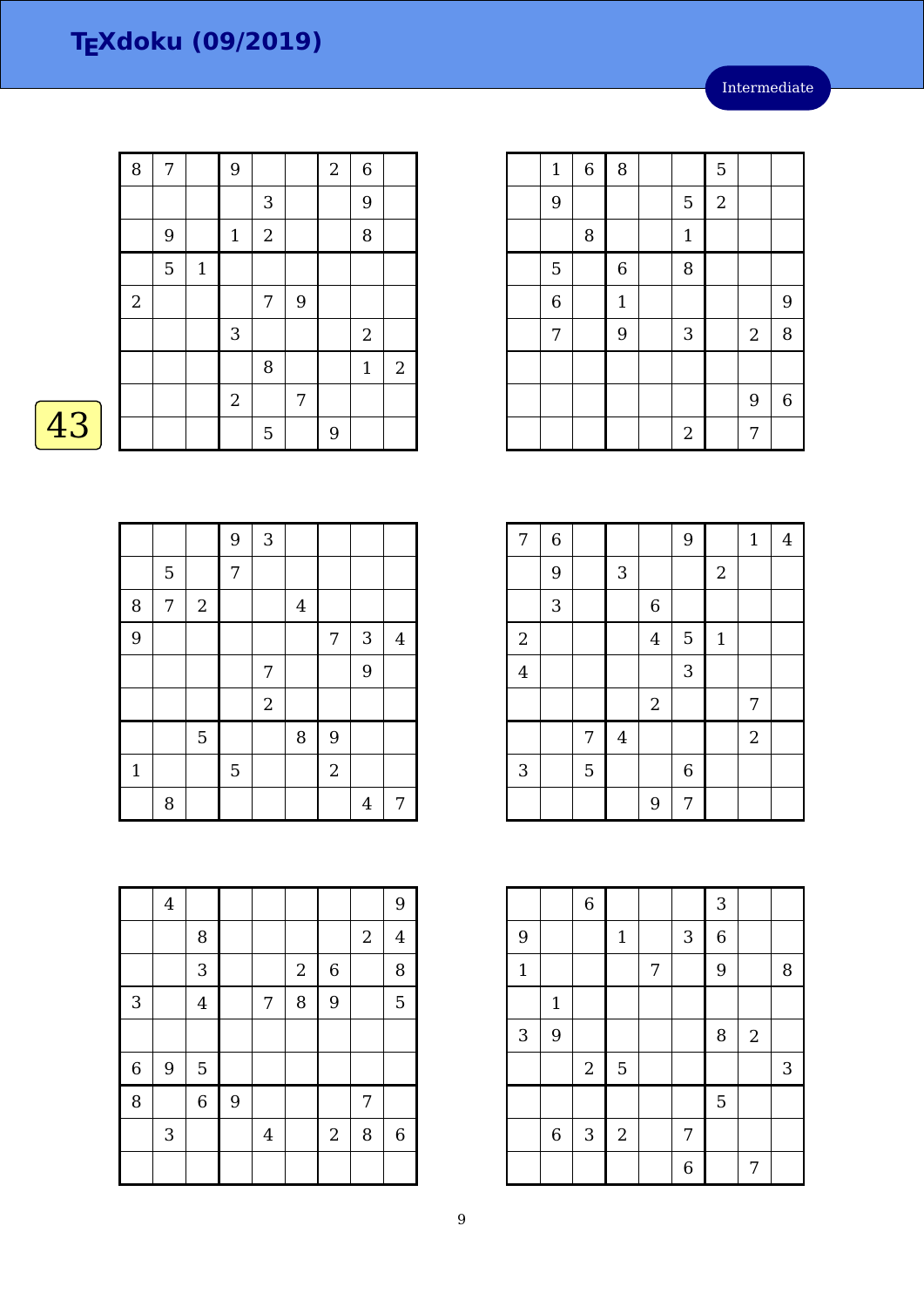Intermediate

|    | 8              | 7 |              | 9              |                |       | $\overline{2}$ | $\boldsymbol{6}$ |                |
|----|----------------|---|--------------|----------------|----------------|-------|----------------|------------------|----------------|
|    |                |   |              |                | $\mathbf{3}$   |       |                | 9                |                |
|    |                | 9 |              | $\mathbf{1}$   | $\overline{2}$ |       |                | 8                |                |
|    |                | 5 | $\mathbf{1}$ |                |                |       |                |                  |                |
|    | $\overline{2}$ |   |              |                | $\overline{7}$ | $9\,$ |                |                  |                |
|    |                |   |              | 3              |                |       |                | $\boldsymbol{2}$ |                |
|    |                |   |              |                | 8              |       |                | $\mathbf{1}$     | $\overline{2}$ |
|    |                |   |              | $\overline{2}$ |                | 7     |                |                  |                |
| 43 |                |   |              |                | 5              |       | 9              |                  |                |

|              |   |            | 9              | $\sqrt{3}$       |                |                |                |         |
|--------------|---|------------|----------------|------------------|----------------|----------------|----------------|---------|
|              | 5 |            | 7              |                  |                |                |                |         |
| 8            | 7 | $\sqrt{2}$ |                |                  | $\overline{4}$ |                |                |         |
| 9            |   |            |                |                  |                | $\overline{7}$ | $\mathbf{3}$   | $\bf 4$ |
|              |   |            |                | 7                |                |                | 9              |         |
|              |   |            |                | $\boldsymbol{2}$ |                |                |                |         |
|              |   | 5          |                |                  | 8              | 9              |                |         |
| $\mathbf{1}$ |   |            | $\overline{5}$ |                  |                | $\overline{2}$ |                |         |
|              | 8 |            |                |                  |                |                | $\overline{4}$ | 7       |

|   | $\overline{4}$            |                |   |         |            |                  |            | 9              |
|---|---------------------------|----------------|---|---------|------------|------------------|------------|----------------|
|   |                           | 8              |   |         |            |                  | $\sqrt{2}$ | $\overline{4}$ |
|   |                           | 3              |   |         | $\sqrt{2}$ | $\boldsymbol{6}$ |            | 8              |
| 3 |                           | $\overline{4}$ |   | 7       | 8          | 9                |            | 5              |
|   |                           |                |   |         |            |                  |            |                |
| 6 | 9                         | 5              |   |         |            |                  |            |                |
| 8 |                           | $\,$ 6 $\,$    | 9 |         |            |                  | 7          |                |
|   | $\ensuremath{\mathsf{3}}$ |                |   | $\bf 4$ |            | $\sqrt{2}$       | 8          | $\,$ 6 $\,$    |
|   |                           |                |   |         |            |                  |            |                |

| $\mathbf{1}$   | $\,$ 6 $\,$ | 8            |                  | 5              |                |             |
|----------------|-------------|--------------|------------------|----------------|----------------|-------------|
| 9              |             |              | $\overline{5}$   | $\overline{2}$ |                |             |
|                | 8           |              | $\mathbf{1}$     |                |                |             |
| 5              |             | $\,$ 6 $\,$  | 8                |                |                |             |
| $\overline{6}$ |             | $\mathbf{1}$ |                  |                |                | 9           |
| 7              |             | 9            | $\sqrt{3}$       |                | $\overline{2}$ | 8           |
|                |             |              |                  |                |                |             |
|                |             |              |                  |                | 9              | $\,$ 6 $\,$ |
|                |             |              | $\boldsymbol{2}$ |                | 7              |             |

| $\overline{7}$ | $\,$ 6 $\,$    |                |                         |                  | 9           |                  | $\mathbf 1$    | $\overline{4}$ |
|----------------|----------------|----------------|-------------------------|------------------|-------------|------------------|----------------|----------------|
|                | $\overline{9}$ |                | $\sqrt{3}$              |                  |             | $\boldsymbol{2}$ |                |                |
|                | 3              |                |                         | $\overline{6}$   |             |                  |                |                |
| $\sqrt{2}$     |                |                |                         | $\overline{4}$   | 5           | $1\,$            |                |                |
| $\overline{4}$ |                |                |                         |                  | 3           |                  |                |                |
|                |                |                |                         | $\boldsymbol{2}$ |             |                  | 7              |                |
|                |                | 7              | $\overline{\mathbf{4}}$ |                  |             |                  | $\overline{2}$ |                |
| 3              |                | $\overline{5}$ |                         |                  | $\,$ 6 $\,$ |                  |                |                |
|                |                |                |                         | 9                | 7           |                  |                |                |

|              |              | $\,$ 6 $\,$  |                |   |   | 3           |            |            |
|--------------|--------------|--------------|----------------|---|---|-------------|------------|------------|
| 9            |              |              | $\mathbf 1$    |   | 3 | $\,$ 6 $\,$ |            |            |
| $\mathbf{1}$ |              |              |                | 7 |   | 9           |            | 8          |
|              | $\mathbf{1}$ |              |                |   |   |             |            |            |
| 3            | 9            |              |                |   |   | 8           | $\sqrt{2}$ |            |
|              |              | $\sqrt{2}$   | $\overline{5}$ |   |   |             |            | $\sqrt{3}$ |
|              |              |              |                |   |   | 5           |            |            |
|              | $\,$ 6 $\,$  | $\mathbf{3}$ | $\sqrt{2}$     |   | 7 |             |            |            |
|              |              |              |                |   | 6 |             | 7          |            |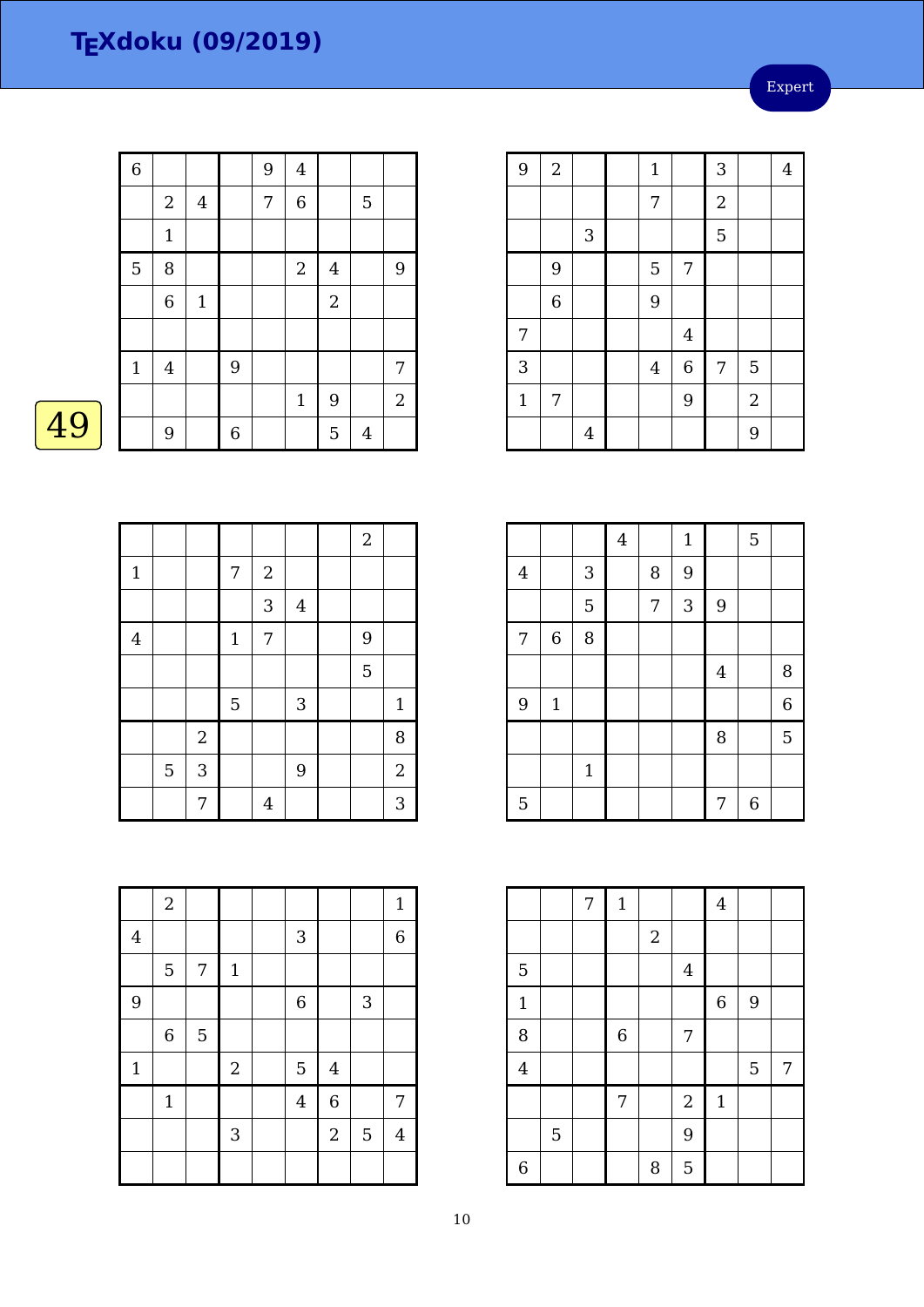Expert

| $\overline{6}$<br>9<br>$\overline{4}$<br>$\overline{6}$<br>7<br>$\boldsymbol{2}$<br>$\bf 4$<br>$\overline{5}$<br>$\mathbf{1}$<br>5<br>8<br>$\sqrt{2}$<br>$\bf 4$ |                |
|------------------------------------------------------------------------------------------------------------------------------------------------------------------|----------------|
|                                                                                                                                                                  |                |
|                                                                                                                                                                  |                |
|                                                                                                                                                                  |                |
|                                                                                                                                                                  | 9              |
| $\sqrt{2}$<br>$\boldsymbol{6}$<br>$\mathbf 1$                                                                                                                    |                |
|                                                                                                                                                                  |                |
| $\mathbf{1}$<br>9<br>$\bf 4$                                                                                                                                     | 7              |
| 9<br>$\mathbf{1}$                                                                                                                                                | $\overline{c}$ |
| 5<br>$\boldsymbol{6}$<br>9<br>$\bf 4$                                                                                                                            |                |

 $\overline{2}$ 

| $\overline{9}$ | $\boldsymbol{2}$ |                | $\mathbf 1$    |                | 3              |            | $\overline{4}$ |
|----------------|------------------|----------------|----------------|----------------|----------------|------------|----------------|
|                |                  |                | 7              |                | $\overline{2}$ |            |                |
|                |                  | $\sqrt{3}$     |                |                | 5              |            |                |
|                | 9                |                | 5              | 7              |                |            |                |
|                | $\overline{6}$   |                | 9              |                |                |            |                |
| 7              |                  |                |                | $\overline{4}$ |                |            |                |
| 3              |                  |                | $\overline{4}$ | $\overline{6}$ | 7              | 5          |                |
| $\mathbf{1}$   | 7                |                |                | 9              |                | $\sqrt{2}$ |                |
|                |                  | $\overline{4}$ |                |                |                | 9          |                |

|                |   |            |       |                  |         | $\sqrt{2}$ |                |
|----------------|---|------------|-------|------------------|---------|------------|----------------|
| $\mathbf 1$    |   |            | 7     | $\boldsymbol{2}$ |         |            |                |
|                |   |            |       | 3                | $\bf 4$ |            |                |
| $\overline{4}$ |   |            | $1\,$ | $\overline{7}$   |         | 9          |                |
|                |   |            |       |                  |         | 5          |                |
|                |   |            | 5     |                  | 3       |            | $\mathbf 1$    |
|                |   | $\sqrt{2}$ |       |                  |         |            | 8              |
|                | 5 | 3          |       |                  | 9       |            | $\overline{2}$ |
|                |   | 7          |       | $\overline{4}$   |         |            | 3              |

|                |             |              | $\bf 4$ |   | $\mathbf 1$ |                | 5 |                |
|----------------|-------------|--------------|---------|---|-------------|----------------|---|----------------|
| $\overline{4}$ |             | 3            |         | 8 | 9           |                |   |                |
|                |             | 5            |         | 7 | 3           | $\overline{9}$ |   |                |
| 7              | $\,$ 6 $\,$ | 8            |         |   |             |                |   |                |
|                |             |              |         |   |             | $\overline{4}$ |   | 8              |
| 9              | $\mathbf 1$ |              |         |   |             |                |   | $\overline{6}$ |
|                |             |              |         |   |             | 8              |   | 5              |
|                |             | $\mathbf{1}$ |         |   |             |                |   |                |
| 5              |             |              |         |   |             | 7              | 6 |                |

|                |                | 7 | $\mathbf 1$ |            |                  | $\bf 4$     |   |   |
|----------------|----------------|---|-------------|------------|------------------|-------------|---|---|
|                |                |   |             | $\sqrt{2}$ |                  |             |   |   |
| 5              |                |   |             |            | $\overline{4}$   |             |   |   |
| $\mathbf{1}$   |                |   |             |            |                  | $\,$ 6 $\,$ | 9 |   |
| 8              |                |   | $\,$ 6 $\,$ |            | $\overline{7}$   |             |   |   |
| $\overline{4}$ |                |   |             |            |                  |             | 5 | 7 |
|                |                |   | 7           |            | $\boldsymbol{2}$ | $\mathbf 1$ |   |   |
|                | $\overline{5}$ |   |             |            | 9                |             |   |   |
| $\overline{6}$ |                |   |             | 8          | 5                |             |   |   |

|                | $\boldsymbol{2}$ |   |             |                |                |                | $\mathbf{1}$   |
|----------------|------------------|---|-------------|----------------|----------------|----------------|----------------|
| $\overline{4}$ |                  |   |             | 3              |                |                | $\overline{6}$ |
|                | 5                | 7 | $\mathbf 1$ |                |                |                |                |
| 9              |                  |   |             | $\,$ 6 $\,$    |                | $\mathbf{3}$   |                |
|                | $\,$ 6 $\,$      | 5 |             |                |                |                |                |
| $\mathbf 1$    |                  |   | $\sqrt{2}$  | 5              | $\bf 4$        |                |                |
|                | $\mathbf 1$      |   |             | $\overline{4}$ | $\overline{6}$ |                | 7              |
|                |                  |   | 3           |                | $\overline{2}$ | $\overline{5}$ | $\overline{4}$ |
|                |                  |   |             |                |                |                |                |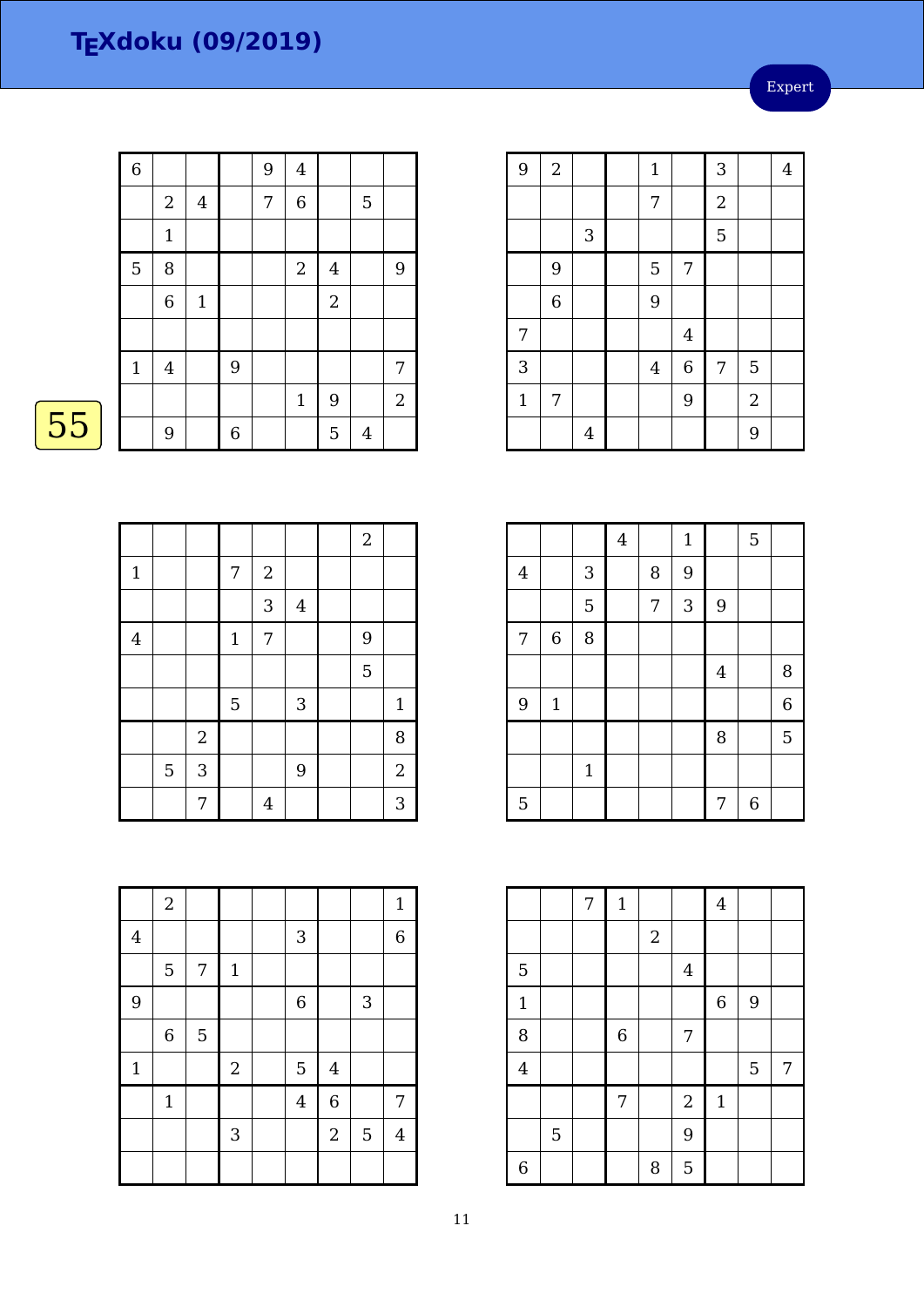Expert

|    | $\overline{6}$ |                  |                |             | 9 | $\overline{4}$   |                |                  |                |
|----|----------------|------------------|----------------|-------------|---|------------------|----------------|------------------|----------------|
|    |                | $\overline{c}$   | $\overline{4}$ |             | 7 | $\boldsymbol{6}$ |                | 5                |                |
|    |                | $1\,$            |                |             |   |                  |                |                  |                |
|    | 5              | 8                |                |             |   | $\boldsymbol{2}$ | $\overline{4}$ |                  | 9              |
|    |                | $\,$ 6 $\,$      | $\mathbf{1}$   |             |   |                  | $\sqrt{2}$     |                  |                |
|    |                |                  |                |             |   |                  |                |                  |                |
|    | $\mathbf{1}$   | $\overline{4}$   |                | 9           |   |                  |                |                  | $\overline{7}$ |
|    |                |                  |                |             |   | $1\,$            | 9              |                  | $\overline{c}$ |
| 55 |                | $\boldsymbol{9}$ |                | $\,$ 6 $\,$ |   |                  | 5              | $\boldsymbol{4}$ |                |
|    |                |                  |                |             |   |                  |                |                  |                |

 $\overline{2}$ 

| 9              | $\sqrt{2}$     |                | $\mathbf{1}$   |                         | 3              |                | $\overline{4}$ |
|----------------|----------------|----------------|----------------|-------------------------|----------------|----------------|----------------|
|                |                |                | 7              |                         | $\overline{2}$ |                |                |
|                |                | $\mathbf{3}$   |                |                         | 5              |                |                |
|                | 9              |                | 5              | 7                       |                |                |                |
|                | $\overline{6}$ |                | 9              |                         |                |                |                |
| 7              |                |                |                | $\overline{\mathbf{4}}$ |                |                |                |
| $\overline{3}$ |                |                | $\overline{4}$ | $\overline{6}$          | 7              | 5              |                |
| $\mathbf{1}$   | 7              |                |                | 9                       |                | $\overline{2}$ |                |
|                |                | $\overline{4}$ |                |                         |                | 9              |                |

| - 3<br><b>Contract Contract Contract Contract Contract Contract Contract Contract Contract Contract Contract Contract Co</b> | - 3<br><b>Contract Contract Contract Contract Contract Contract Contract Contract Contract Contract Contract Contract Co</b> |
|------------------------------------------------------------------------------------------------------------------------------|------------------------------------------------------------------------------------------------------------------------------|
|                                                                                                                              |                                                                                                                              |

|              |   |            |                |            |         | $\boldsymbol{2}$ |                |
|--------------|---|------------|----------------|------------|---------|------------------|----------------|
| $\mathbf{1}$ |   |            | 7              | $\sqrt{2}$ |         |                  |                |
|              |   |            |                | 3          | $\bf 4$ |                  |                |
| $\bf 4$      |   |            | $1\,$          | 7          |         | 9                |                |
|              |   |            |                |            |         | 5                |                |
|              |   |            | $\overline{5}$ |            | 3       |                  | $\mathbf{1}$   |
|              |   | $\sqrt{2}$ |                |            |         |                  | 8              |
|              | 5 | 3          |                |            | 9       |                  | $\overline{2}$ |
|              |   | 7          |                | 4          |         |                  | 3              |

|                |                |             | $\overline{4}$ |   | $\mathbf{1}$ |                | 5 |                  |
|----------------|----------------|-------------|----------------|---|--------------|----------------|---|------------------|
| $\overline{4}$ |                | 3           |                | 8 | 9            |                |   |                  |
|                |                | 5           |                | 7 | 3            | 9              |   |                  |
| 7              | $\overline{6}$ | 8           |                |   |              |                |   |                  |
|                |                |             |                |   |              | $\overline{4}$ |   | 8                |
| 9              | $\mathbf{1}$   |             |                |   |              |                |   | $\boldsymbol{6}$ |
|                |                |             |                |   |              | 8              |   | 5                |
|                |                | $\mathbf 1$ |                |   |              |                |   |                  |
| 5              |                |             |                |   |              | 7              | 6 |                  |

|                |                | 7 | $\mathbf{1}$     |                  |                | $\boldsymbol{4}$ |       |   |
|----------------|----------------|---|------------------|------------------|----------------|------------------|-------|---|
|                |                |   |                  | $\boldsymbol{2}$ |                |                  |       |   |
| 5              |                |   |                  |                  | $\overline{4}$ |                  |       |   |
| $\mathbf 1$    |                |   |                  |                  |                | $\,$ 6 $\,$      | $9\,$ |   |
| 8              |                |   | $\boldsymbol{6}$ |                  | 7              |                  |       |   |
| $\overline{4}$ |                |   |                  |                  |                |                  | 5     | 7 |
|                |                |   | $\overline{7}$   |                  | $\sqrt{2}$     | $\mathbf 1$      |       |   |
|                | $\overline{5}$ |   |                  |                  | 9              |                  |       |   |
| $\overline{6}$ |                |   |                  | 8                | 5              |                  |       |   |

|                         | $\sqrt{2}$       |   |                |                |                |                | $\mathbf{1}$   |
|-------------------------|------------------|---|----------------|----------------|----------------|----------------|----------------|
| $\overline{\mathbf{4}}$ |                  |   |                | 3              |                |                | $\overline{6}$ |
|                         | 5                | 7 | $1\,$          |                |                |                |                |
| 9                       |                  |   |                | $\overline{6}$ |                | $\mathbf{3}$   |                |
|                         | $\boldsymbol{6}$ | 5 |                |                |                |                |                |
| $\mathbf 1$             |                  |   | $\overline{2}$ | 5              | $\overline{4}$ |                |                |
|                         | $1\,$            |   |                | $\overline{4}$ | $\overline{6}$ |                | 7              |
|                         |                  |   | 3              |                | $\overline{2}$ | $\overline{5}$ | $\bf 4$        |
|                         |                  |   |                |                |                |                |                |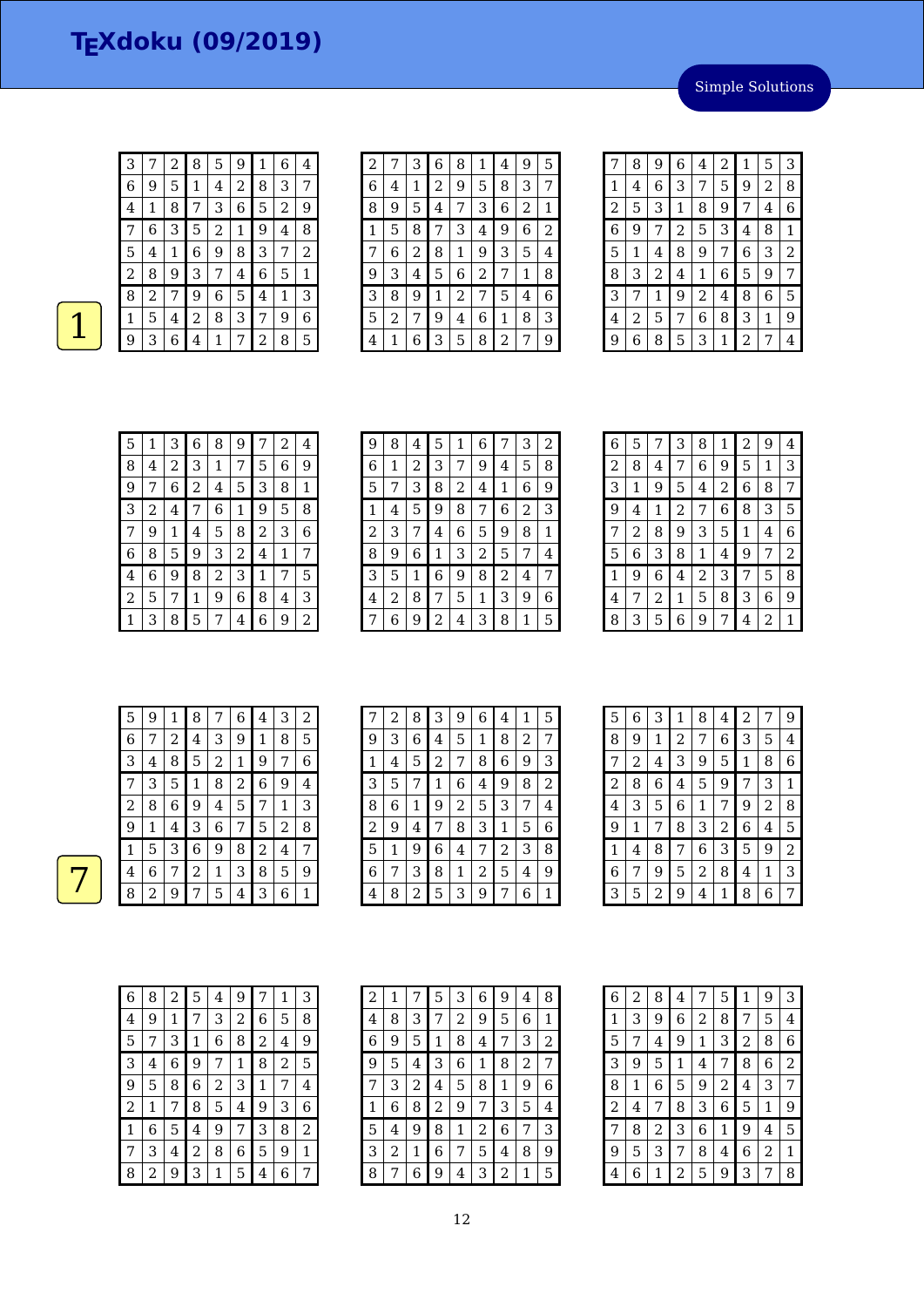Simple Solutions

| З | 7 | 2 | 8 | 5              | 9 | 1 | 6 | 4 |
|---|---|---|---|----------------|---|---|---|---|
| 6 | 9 | 5 | 1 | 4              | 2 | 8 | З | 7 |
| 4 | 1 | 8 |   | З              | 6 | 5 | 2 | 9 |
| 7 | 6 | 3 | 5 | $\overline{2}$ | 1 | 9 | 4 | 8 |
| 5 | 4 | 1 | 6 | 9              | 8 | З | 7 | 2 |
| 2 | 8 | 9 | З | 7              | 4 | 6 | 5 | 1 |
| 8 | 2 | 7 | 9 | 6              | 5 | 4 | 1 | 3 |
| 1 | 5 | 4 | 2 | 8              | 3 | 7 | 9 | 6 |
| 9 | 3 | 6 | 4 | 1              | 7 | 2 | 8 | 5 |

| $\overline{c}$ | 7 | З | 6 | 8 | 1 | 4 | 9 | 5 |
|----------------|---|---|---|---|---|---|---|---|
| 6              | 4 | 1 | 2 | 9 | 5 | 8 | 3 | 7 |
| 8              | 9 | 5 | 4 | 7 | З | 6 | 2 | 1 |
| 1              | 5 | 8 | 7 | 3 | 4 | 9 | 6 | 2 |
| 7              | 6 | 2 | 8 | 1 | 9 | 3 | 5 | 4 |
| 9              | 3 | 4 | 5 | 6 | 2 | 7 | 1 | 8 |
| 3              | 8 | 9 | 1 | 2 | 7 | 5 | 4 | 6 |
| 5              | 2 | 7 | 9 | 4 | 6 | 1 | 8 | З |
| 4              | 1 | 6 | 3 | 5 | 8 | 2 | 7 | 9 |

| 7              | 8 | 9              | 6              | 4 | 2 | 1 | 5 | 3 |
|----------------|---|----------------|----------------|---|---|---|---|---|
| 1              | 4 | 6              | 3              | 7 | 5 | 9 | 2 | 8 |
| $\overline{2}$ | 5 | 3              | 1              | 8 | 9 | 7 | 4 | 6 |
| 6              | 9 | 7              | $\overline{c}$ | 5 | 3 | 4 | 8 | 1 |
| 5              | 1 | 4              | 8              | 9 | 7 | 6 | 3 | 2 |
| 8              | 3 | $\overline{c}$ | 4              | 1 | 6 | 5 | 9 | 7 |
| 3              | 7 | 1              | 9              | 2 | 4 | 8 | 6 | 5 |
| 4              | 2 | 5              | 7              | 6 | 8 | 3 | 1 | 9 |
| 9              | 6 | 8              | 5              | 3 | 1 | 2 | 7 | 4 |

| 5 | 1 | 3 | 6           | 8 | 9 | 7 | 2 | 4           |
|---|---|---|-------------|---|---|---|---|-------------|
| 8 | 4 | 2 | 3           | 1 | 7 | 5 | 6 | 9           |
| 9 |   | 6 | 2           | 4 | 5 | 3 | 8 | $\mathbf 1$ |
| 3 | 2 | 4 | 7           | 6 | 1 | 9 | 5 | 8           |
| 7 | 9 | 1 | 4           | 5 | 8 | 2 | 3 | 6           |
| 6 | 8 | 5 | 9           | 3 | 2 | 4 | 1 | 7           |
| 4 | 6 | 9 | 8           | 2 | 3 | 1 | 7 | 5           |
| 2 | 5 | 7 | $\mathbf 1$ | 9 | 6 | 8 | 4 | 3           |
| 1 | 3 | 8 | 5           | 7 | 4 | 6 | 9 | 2           |

| 9 |   | 8 | 4 | 5              | 1 | 6 | 7              | З | 2 |
|---|---|---|---|----------------|---|---|----------------|---|---|
| 6 |   | 1 | 2 | 3              | 7 | 9 | 4              | 5 | 8 |
| 5 |   |   | 3 | 8              | 2 | 4 | 1              | 6 | 9 |
| 1 |   | 4 | 5 | 9              | 8 | 7 | 6              | 2 | 3 |
| 2 |   | 3 | 7 | 4              | 6 | 5 | 9              | 8 | 1 |
| 8 |   | 9 | 6 | 1              | 3 | 2 | 5              | 7 | 4 |
| З |   | 5 | 1 | 6              | 9 | 8 | $\overline{2}$ | 4 | 7 |
| 4 |   | 2 | 8 | 7              | 5 | 1 | 3              | 9 | 6 |
|   | 7 | 6 | 9 | $\overline{2}$ | 4 | 3 | 8              | 1 | 5 |

| 6 | 5 | 7           | 3              | 8 | 1 | 2 | 9 | 4 |
|---|---|-------------|----------------|---|---|---|---|---|
| 2 | 8 | 4           | 7              | 6 | 9 | 5 | 1 | 3 |
| 3 | 1 | 9           | 5              | 4 | 2 | 6 | 8 | 7 |
| 9 | 4 | $\mathbf 1$ | $\overline{c}$ | 7 | 6 | 8 | 3 | 5 |
| 7 | 2 | 8           | 9              | З | 5 | 1 | 4 | 6 |
| 5 | 6 | 3           | 8              | 1 | 4 | 9 | 7 | 2 |
| 1 | 9 | 6           | 4              | 2 | 3 | 7 | 5 | 8 |
| 4 | 7 | 2           | 1              | 5 | 8 | З | 6 | 9 |
| 8 | 3 | 5           | 6              | 9 | 7 | 4 | 2 | 1 |

| 5 | 9 | 1 | 8 | 7          | 6 | 4              | 3            | 2 |
|---|---|---|---|------------|---|----------------|--------------|---|
| 6 | 7 | 2 | 4 | 3          | 9 | $\mathbf 1$    | 8            | 5 |
| 3 | 4 | 8 | 5 | $\sqrt{2}$ | 1 | 9              | 7            | 6 |
| 7 | 3 | 5 | 1 | 8          | 2 | 6              | 9            | 4 |
| 2 | 8 | 6 | 9 | 4          | 5 | 7              | $\mathbf{1}$ | 3 |
| 9 | 1 | 4 | 3 | 6          | 7 | 5              | 2            | 8 |
| 1 | 5 | 3 | 6 | 9          | 8 | $\overline{2}$ | 4            | 7 |
| 4 | 6 | 7 | 2 | 1          | 3 | 8              | 5            | 9 |
| 8 | 2 | 9 | 7 | 5          | 4 | 3              | 6            | 1 |

| 7 | 2 | 8 | 3              | 9 | 6 | 4              | 1 | 5 |
|---|---|---|----------------|---|---|----------------|---|---|
| 9 | 3 | 6 | 4              | 5 | 1 | 8              | 2 | 7 |
| 1 | 4 | 5 | $\overline{c}$ | 7 | 8 | 6              | 9 | 3 |
| 3 | 5 | 7 | 1              | 6 | 4 | 9              | 8 | 2 |
| 8 | 6 | 1 | 9              | 2 | 5 | 3              | 7 | 4 |
| 2 | 9 | 4 | 7              | 8 | 3 | 1              | 5 | 6 |
| 5 | 1 | 9 | 6              | 4 | 7 | $\overline{c}$ | 3 | 8 |
| 6 | 7 | 3 | 8              | 1 | 2 | 5              | 4 | 9 |
| 4 | 8 | 2 | 5              | 3 | 9 |                | 6 | 1 |

| 5 | 6 | 3              | 1 | 8              | 4              | 2            | 7           | 9              |
|---|---|----------------|---|----------------|----------------|--------------|-------------|----------------|
| 8 | 9 | 1              | 2 | 7              | 6              | 3            | 5           | 4              |
| 7 | 2 | 4              | 3 | 9              | 5              | $\mathbf{1}$ | 8           | 6              |
| 2 | 8 | 6              | 4 | 5              | 9              | 7            | 3           | 1              |
| 4 | 3 | 5              | 6 | 1              | 7              | 9            | 2           | 8              |
| 9 | 1 | 7              | 8 | 3              | $\overline{c}$ | 6            | 4           | 5              |
| 1 | 4 | 8              | 7 | 6              | 3              | 5            | 9           | $\overline{2}$ |
| 6 | 7 | 9              | 5 | $\overline{c}$ | 8              | 4            | $\mathbf 1$ | 3              |
| 3 | 5 | $\overline{c}$ | 9 | 4              | 1              | 8            | 6           | 7              |

| 6              | 8 | 2 | 5 | 4 | 9 | 7 | 1 | 3 |
|----------------|---|---|---|---|---|---|---|---|
| 4              | 9 | 1 | 7 | З | 2 | 6 | 5 | 8 |
| 5              |   | З | 1 | 6 | 8 | 2 | 4 | 9 |
| З              | 4 | 6 | 9 | 7 | 1 | 8 | 2 | 5 |
| 9              | 5 | 8 | 6 | 2 | З | 1 | 7 | 4 |
| $\overline{c}$ | 1 | 7 | 8 | 5 | 4 | 9 | 3 | 6 |
| 1              | 6 | 5 | 4 | 9 | 7 | 3 | 8 | 2 |
|                | З | 4 | 2 | 8 | 6 | 5 | 9 | 1 |
| 8              | 2 | 9 | 3 | 1 | 5 | 4 | 6 |   |

| 2 | 1 |   | 5              | 3 | 6 | 9 | 4 | 8 |
|---|---|---|----------------|---|---|---|---|---|
| 4 | 8 | З | 7              | 2 | 9 | 5 | 6 | 1 |
| 6 | 9 | 5 | 1              | 8 | 4 | 7 | З | 2 |
| 9 | 5 | 4 | З              | 6 | 1 | 8 | 2 | 7 |
| 7 | 3 | 2 | 4              | 5 | 8 | 1 | 9 | 6 |
| 1 | 6 | 8 | $\overline{c}$ | 9 | 7 | З | 5 | 4 |
| 5 | 4 | 9 | 8              | 1 | 2 | 6 | 7 | 3 |
| З | 2 | 1 | 6              | 7 | 5 | 4 | 8 | 9 |
| 8 |   | 6 | 9              | 4 | 3 | 2 | 1 | 5 |

| 6 | 2 | 8 | 4 | 7 | 5              | 1 | 9 | З |
|---|---|---|---|---|----------------|---|---|---|
| 1 | 3 | 9 | 6 | 2 | 8              | 7 | 5 | 4 |
| 5 | 7 | 4 | 9 | 1 | З              | 2 | 8 | 6 |
| 3 | 9 | 5 | 1 | 4 | 7              | 8 | 6 | 2 |
| 8 | 1 | 6 | 5 | 9 | $\overline{c}$ | 4 | 3 | 7 |
| 2 | 4 | 7 | 8 | 3 | 6              | 5 | 1 | 9 |
| 7 | 8 | 2 | 3 | 6 | 1              | 9 | 4 | 5 |
| 9 | 5 | 3 | 7 | 8 | 4              | 6 | 2 | 1 |
| 4 | 6 | 1 | 2 | 5 | 9              | З | 7 | 8 |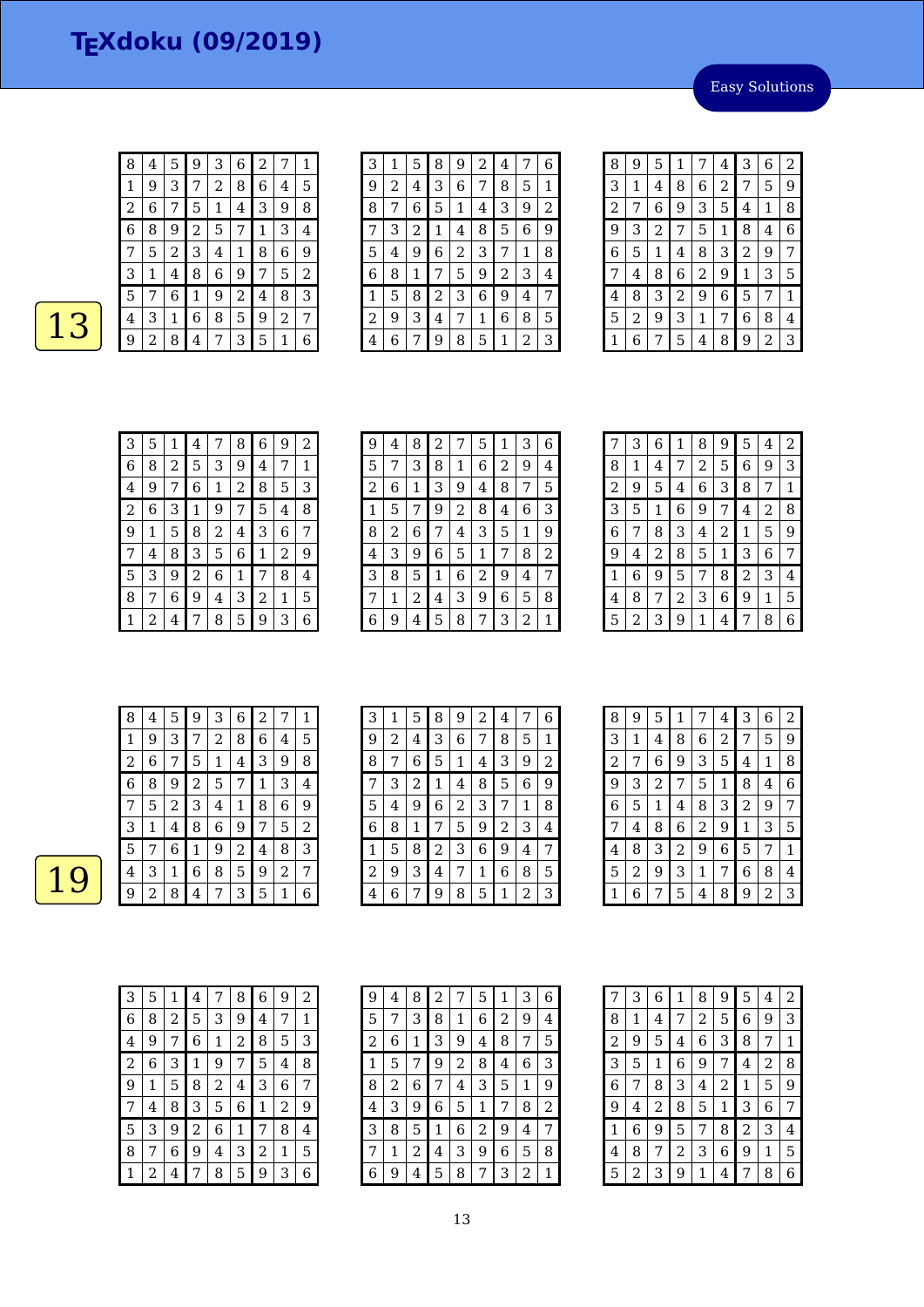$8 | 4 | 5 | 9 | 3 | 6 | 2 | 7 | 1$  $\begin{array}{|c|c|c|c|c|c|c|c|c|}\n \hline\n 8 & 4 & 5 & 9 & 3 & 6 & 2 & 7 & 1 \\
\hline\n 1 & 9 & 3 & 7 & 2 & 8 & 6 & 4 & 5\n \end{array}$ 

 6 7 5 1 4 3 9 8 8 9 2 5 7 1 3 4 7 | 5 | 2 | 3 | 4 | 1 | 8 | 6 | 9 3 | 1 | 4 | 8 | 6 | 9 | 7 | 5 | 2 7 6 1 9 2 4 8 3 4 3 1 6 8 5 9 2 7<br>9 2 8 4 7 3 5 1 6 Easy Solutions

| 2<br>9<br>З<br>8<br>7<br>1<br>5<br>4<br>3<br>6<br>9<br>8<br>5<br>2<br>7<br>4 | 6<br>1         |
|------------------------------------------------------------------------------|----------------|
|                                                                              |                |
|                                                                              |                |
| 5<br>6<br>3<br>9<br>8<br>1<br>7<br>4                                         | $\overline{2}$ |
| $\overline{a}$<br>5<br>8<br>6<br>3<br>1<br>7<br>4                            | 9              |
| 6<br>3<br>2<br>1<br>5<br>9<br>4<br>7                                         | 8              |
| 3<br>6<br>5<br>9<br>2<br>8<br>1<br>7                                         | 4              |
| $\overline{2}$<br>3<br>6<br>9<br>8<br>1<br>5<br>4                            | 7              |
| 3<br>6<br>8<br>9<br>$\overline{2}$<br>1<br>4<br>7                            | 5              |
| 2<br>9<br>8<br>5<br>1<br>6<br>7<br>4                                         | 3              |

| 8 | 9            | 5              | 1              | 7              | 4              | 3              | 6 | 2 |
|---|--------------|----------------|----------------|----------------|----------------|----------------|---|---|
| 3 | $\mathbf{1}$ | 4              | 8              | 6              | $\overline{c}$ | 7              | 5 | 9 |
| 2 | 7            | 6              | 9              | 3              | 5              | 4              | 1 | 8 |
| 9 | 3            | $\overline{c}$ | 7              | 5              | 1              | 8              | 4 | 6 |
| 6 | 5            | 1              | 4              | 8              | 3              | $\overline{c}$ | 9 | 7 |
| 7 | 4            | 8              | 6              | $\overline{c}$ | 9              | 1              | 3 | 5 |
| 4 | 8            | 3              | $\overline{2}$ | 9              | 6              | 5              | 7 | 1 |
| 5 | 2            | 9              | 3              | 1              | 7              | 6              | 8 | 4 |
| 1 | 6            | 7              | 5              | 4              | 8              | 9              | 2 | 3 |

| 3 | 5 | 1 | 4 | 7 | 8 | 6 | 9 | 2 |
|---|---|---|---|---|---|---|---|---|
| 6 | 8 | 2 | 5 | З | 9 | 4 | 7 | 1 |
| 4 | 9 | 7 | 6 | 1 | 2 | 8 | 5 | 3 |
| 2 | 6 | З | 1 | 9 | 7 | 5 | 4 | 8 |
| 9 | 1 | 5 | 8 | 2 | 4 | 3 | 6 | 7 |
| 7 | 4 | 8 | 3 | 5 | 6 | 1 | 2 | 9 |
| 5 | 3 | 9 | 2 | 6 | 1 | 7 | 8 | 4 |
| 8 | 7 | 6 | 9 | 4 | 3 | 2 | 1 | 5 |
|   | 2 | 4 |   | 8 | 5 | 9 | 3 | 6 |

| 9 | 4 | 8 | 2 | 7              | 5 | 1              | 3 | 6 |
|---|---|---|---|----------------|---|----------------|---|---|
| 5 |   | 3 | 8 | 1              | 6 | $\overline{2}$ | 9 | 4 |
| 2 | 6 | 1 | 3 | 9              | 4 | 8              | 7 | 5 |
| 1 | 5 | 7 | 9 | $\overline{2}$ | 8 | 4              | 6 | 3 |
| 8 | 2 | 6 | 7 | 4              | 3 | 5              | 1 | 9 |
| 4 | 3 | 9 | 6 | 5              | 1 | 7              | 8 | 2 |
| 3 | 8 | 5 | 1 | 6              | 2 | 9              | 4 | 7 |
| 7 | 1 | 2 | 4 | 3              | 9 | 6              | 5 | 8 |
| 6 | 9 | 4 | 5 | 8              | 7 | 3              | 2 | 1 |

| 7              | 3 | 6 | 1 | 8 | 9 | 5              | 4 | 2           |
|----------------|---|---|---|---|---|----------------|---|-------------|
| 8              | 1 | 4 | 7 | 2 | 5 | 6              | 9 | 3           |
| $\overline{c}$ | 9 | 5 | 4 | 6 | 3 | 8              | 7 | $\mathbf 1$ |
| 3              | 5 | 1 | 6 | 9 | 7 | 4              | 2 | 8           |
| 6              | 7 | 8 | 3 | 4 | 2 | 1              | 5 | 9           |
| 9              | 4 | 2 | 8 | 5 | 1 | 3              | 6 | 7           |
| 1              | 6 | 9 | 5 | 7 | 8 | $\overline{c}$ | 3 | 4           |
| 4              | 8 | 7 | 2 | 3 | 6 | 9              | 1 | 5           |
| 5              | 2 | З | 9 | 1 | 4 | 7              | 8 | 6           |

| 8 | 4 | 5 | 9 | З | 6 | 2 |                         | 1 |
|---|---|---|---|---|---|---|-------------------------|---|
| 1 | 9 | 3 | 7 | 2 | 8 | 6 | 4                       | 5 |
| 2 | 6 | 7 | 5 | 1 | 4 | З | 9                       | 8 |
| 6 | 8 | 9 | 2 | 5 | 7 | 1 | З                       | 4 |
|   | 5 | 2 | З | 4 | 1 | 8 | 6                       | 9 |
| З | 1 | 4 | 8 | 6 | 9 | 7 | 5                       | 2 |
| 5 | 7 | 6 | 1 | 9 | 2 | 4 | 8                       | З |
| 4 | З | 1 | 6 | 8 | 5 | 9 | $\overline{\mathbf{c}}$ | 7 |
| g | 2 | 8 | 4 |   | З | 5 | 1                       | 6 |

| 3 | 1 | 5 | 8 | 9 | 2 | 4 | 7 | 6 |
|---|---|---|---|---|---|---|---|---|
| 9 | 2 | 4 | 3 | 6 | 7 | 8 | 5 | 1 |
| 8 | 7 | 6 | 5 | 1 | 4 | 3 | 9 | 2 |
|   | 3 | 2 | 1 | 4 | 8 | 5 | 6 | 9 |
| 5 | 4 | 9 | 6 | 2 | 3 | 7 | 1 | 8 |
| 6 | 8 | 1 | 7 | 5 | 9 | 2 | 3 | 4 |
| 1 | 5 | 8 | 2 | 3 | 6 | 9 | 4 | 7 |
| 2 | 9 | 3 | 4 | 7 | 1 | 6 | 8 | 5 |
| 4 | 6 | 7 | 9 | 8 | 5 | 1 | 2 | 3 |

| 8              | 9 | 5              | 1              | 7              | 4              | 3              | 6 | 2           |
|----------------|---|----------------|----------------|----------------|----------------|----------------|---|-------------|
| 3              | 1 | 4              | 8              | 6              | $\overline{2}$ | 7              | 5 | 9           |
| $\overline{c}$ | 7 | 6              | 9              | 3              | 5              | 4              | 1 | 8           |
| 9              | 3 | $\overline{c}$ | 7              | 5              | 1              | 8              | 4 | 6           |
| 6              | 5 | 1              | 4              | 8              | 3              | $\overline{2}$ | 9 | 7           |
| 7              | 4 | 8              | 6              | $\overline{c}$ | 9              | $\mathbf{1}$   | 3 | 5           |
| 4              | 8 | 3              | $\overline{c}$ | 9              | 6              | 5              | 7 | $\mathbf 1$ |
| 5              | 2 | 9              | 3              | 1              | 7              | 6              | 8 | 4           |
| 1              | 6 | 7              | 5              | 4              | 8              | 9              | 2 | 3           |

| 3 | 5 | 1 | 4 | 7 | 8 | 6 | 9 | 2 |
|---|---|---|---|---|---|---|---|---|
| 6 | 8 | 2 | 5 | З | 9 | 4 | 7 | 1 |
| 4 | 9 | 7 | 6 | 1 | 2 | 8 | 5 | З |
| 2 | 6 | 3 | 1 | 9 | 7 | 5 | 4 | 8 |
| 9 | 1 | 5 | 8 | 2 | 4 | З | 6 | 7 |
| 7 | 4 | 8 | 3 | 5 | 6 | 1 | 2 | 9 |
| 5 | З | 9 | 2 | 6 | 1 | 7 | 8 | 4 |
| 8 | 7 | 6 | 9 | 4 | З | 2 | 1 | 5 |
| 1 | 2 | 4 |   | 8 | 5 | 9 | З | 6 |

| 9 | 4 | 8 | 2 | 7 | 5 | 1 | 3 | 6 |
|---|---|---|---|---|---|---|---|---|
| 5 | 7 | З | 8 | 1 | 6 | 2 | 9 | 4 |
| 2 | 6 | 1 | З | 9 | 4 | 8 | 7 | 5 |
| 1 | 5 | 7 | 9 | 2 | 8 | 4 | 6 | 3 |
| 8 | 2 | 6 | 7 | 4 | 3 | 5 | 1 | 9 |
| 4 | З | 9 | 6 | 5 | 1 | 7 | 8 | 2 |
| З | 8 | 5 | 1 | 6 | 2 | 9 | 4 | 7 |
| 7 | 1 | 2 | 4 | 3 | 9 | 6 | 5 | 8 |
| 6 | 9 | 4 | 5 | 8 | 7 | 3 | 2 | 1 |

| 7 | 3 | 6 | 1 | 8              | 9 | 5              | 4 | 2 |
|---|---|---|---|----------------|---|----------------|---|---|
| 8 | 1 | 4 | 7 | $\overline{c}$ | 5 | 6              | 9 | З |
| 2 | 9 | 5 | 4 | 6              | 3 | 8              | 7 | 1 |
| 3 | 5 | 1 | 6 | 9              | 7 | 4              | 2 | 8 |
| 6 | 7 | 8 | 3 | 4              | 2 | 1              | 5 | 9 |
| 9 | 4 | 2 | 8 | 5              | 1 | 3              | 6 | 7 |
| 1 | 6 | 9 | 5 | 7              | 8 | $\overline{2}$ | 3 | 4 |
| 4 | 8 | 7 | 2 | 3              | 6 | 9              | 1 | 5 |
| 5 | 2 | 3 | 9 | 1              | 4 | 7              | 8 | 6 |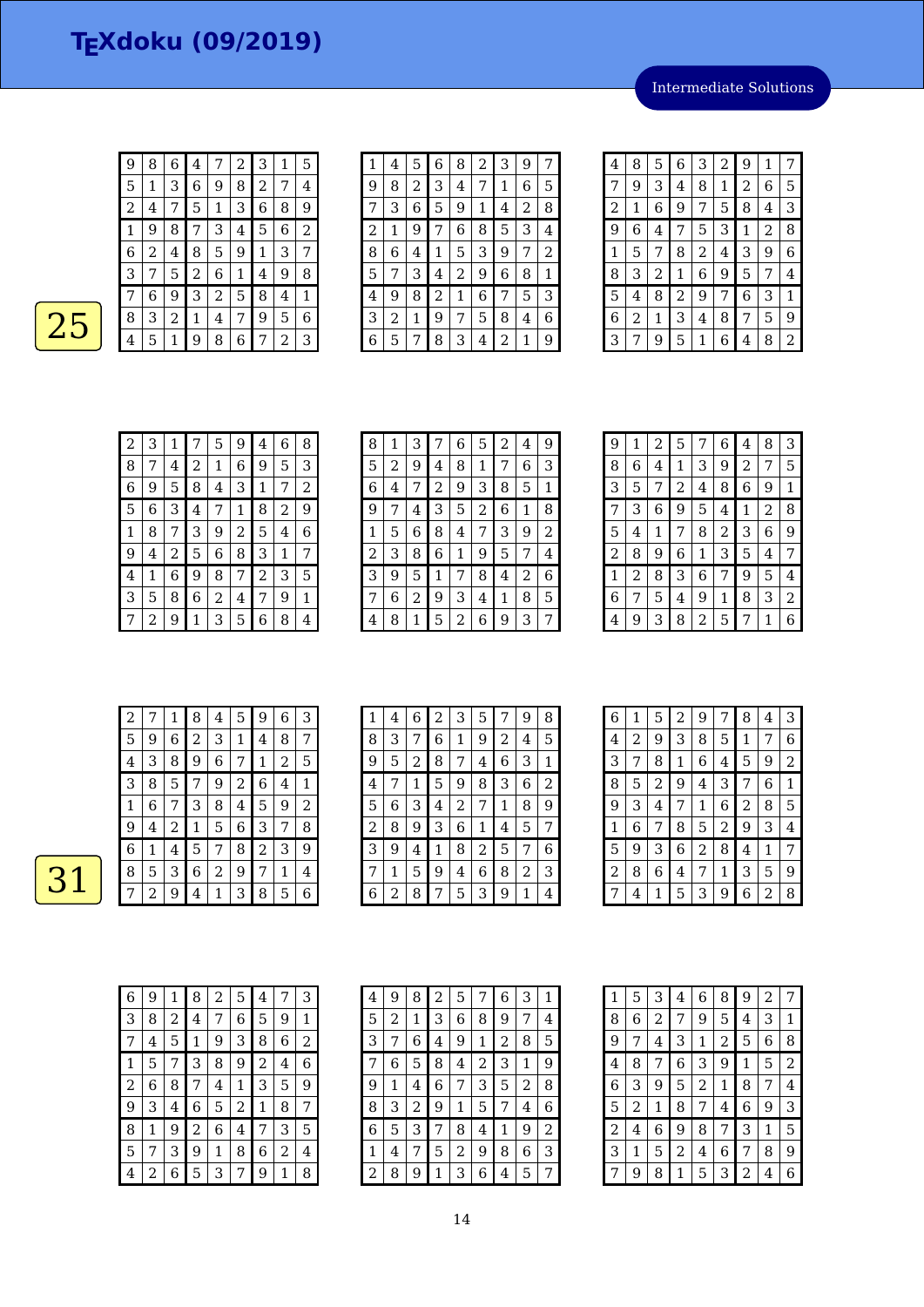Intermediate Solutions

| 9              | 8 | 6 | 4 | 7 | 2 | 3 | 1 | 5 |
|----------------|---|---|---|---|---|---|---|---|
| 5              | 1 | 3 | 6 | 9 | 8 | 2 | 7 | 4 |
| $\overline{c}$ | 4 | 7 | 5 | 1 | 3 | 6 | 8 | 9 |
| 1              | 9 | 8 | 7 | 3 | 4 | 5 | 6 | 2 |
| 6              | 2 | 4 | 8 | 5 | 9 | 1 | 3 | 7 |
| 3              | 7 | 5 | 2 | 6 | 1 | 4 | 9 | 8 |
| 7              | 6 | 9 | 3 | 2 | 5 | 8 | 4 | 1 |
| 8              | 3 | 2 | 1 | 4 | 7 | 9 | 5 | 6 |
| 4              | 5 | 1 | 9 | 8 | 6 | 7 | 2 | 3 |

 $\overline{25}$ 

| 1 | 4 | 5 | 6 | 8              | 2 | 3 | 9 | 7           |
|---|---|---|---|----------------|---|---|---|-------------|
| 9 | 8 | 2 | 3 | 4              | 7 | 1 | 6 | 5           |
| 7 | 3 | 6 | 5 | 9              | 1 | 4 | 2 | 8           |
| 2 | 1 | 9 | 7 | 6              | 8 | 5 | 3 | 4           |
| 8 | 6 | 4 | 1 | 5              | 3 | 9 | 7 | 2           |
| 5 | 7 | 3 | 4 | $\overline{c}$ | 9 | 6 | 8 | $\mathbf 1$ |
| 4 | 9 | 8 | 2 | 1              | 6 | 7 | 5 | 3           |
| 3 | 2 | 1 | 9 | 7              | 5 | 8 | 4 | 6           |
| 6 | 5 | 7 | 8 | 3              | 4 | 2 | 1 | 9           |

| 4              | 8 | 5 | 6 | 3              | $\overline{c}$ | 9 | 1              | 7 |
|----------------|---|---|---|----------------|----------------|---|----------------|---|
| 7              | 9 | 3 | 4 | 8              | $\mathbf{1}$   | 2 | 6              | 5 |
| $\overline{c}$ | 1 | 6 | 9 | 7              | 5              | 8 | 4              | 3 |
| 9              | 6 | 4 | 7 | 5              | 3              | 1 | $\overline{2}$ | 8 |
| 1              | 5 | 7 | 8 | $\overline{c}$ | 4              | 3 | 9              | 6 |
| 8              | 3 | 2 | 1 | 6              | 9              | 5 | 7              | 4 |
| 5              | 4 | 8 | 2 | 9              | 7              | 6 | 3              | 1 |
| 6              | 2 | 1 | 3 | 4              | 8              | 7 | 5              | 9 |
| 3              | 7 | 9 | 5 | 1              | 6              | 4 | 8              | 2 |

| $\overline{2}$ | З | 1 | 7 | 5 | 9 | 4            | 6 | 8 |
|----------------|---|---|---|---|---|--------------|---|---|
| 8              |   | 4 | 2 | 1 | 6 | 9            | 5 | 3 |
| 6              | 9 | 5 | 8 | 4 | 3 | $\mathbf{1}$ | 7 | 2 |
| 5              | 6 | 3 | 4 | 7 | 1 | 8            | 2 | 9 |
| 1              | 8 | 7 | 3 | 9 | 2 | 5            | 4 | 6 |
| 9              | 4 | 2 | 5 | 6 | 8 | 3            | 1 | 7 |
| 4              | 1 | 6 | 9 | 8 | 7 | 2            | 3 | 5 |
| 3              | 5 | 8 | 6 | 2 | 4 | 7            | 9 | 1 |
|                | 2 | 9 | 1 | 3 | 5 | 6            | 8 | 4 |

| 8 | 1 | З | 7              | 6 | 5              | 2 | 4 | 9 |
|---|---|---|----------------|---|----------------|---|---|---|
| 5 | 2 | 9 | 4              | 8 | 1              | 7 | 6 | З |
| 6 | 4 |   | $\overline{c}$ | 9 | 3              | 8 | 5 | 1 |
| 9 | 7 | 4 | 3              | 5 | $\overline{2}$ | 6 | 1 | 8 |
| 1 | 5 | 6 | 8              | 4 | 7              | 3 | 9 | 2 |
| 2 | 3 | 8 | 6              | 1 | 9              | 5 | 7 | 4 |
| 3 | 9 | 5 | 1              | 7 | 8              | 4 | 2 | 6 |
| 7 | 6 | 2 | 9              | 3 | 4              | 1 | 8 | 5 |
| 4 | 8 | 1 | 5              | 2 | 6              | 9 | 3 | 7 |

| 9 | 1 | 2 | 5              | 7 | 6 | 4 | 8 | 3 |
|---|---|---|----------------|---|---|---|---|---|
| 8 | 6 | 4 | $\mathbf 1$    | 3 | 9 | 2 | 7 | 5 |
| 3 | 5 | 7 | $\overline{c}$ | 4 | 8 | 6 | 9 | 1 |
| 7 | 3 | 6 | 9              | 5 | 4 | 1 | 2 | 8 |
| 5 | 4 | 1 | 7              | 8 | 2 | 3 | 6 | 9 |
| 2 | 8 | 9 | 6              | 1 | 3 | 5 | 4 | 7 |
| 1 | 2 | 8 | 3              | 6 | 7 | 9 | 5 | 4 |
| 6 | 7 | 5 | 4              | 9 | 1 | 8 | 3 | 2 |
| 4 | 9 | 3 | 8              | 2 | 5 | 7 | 1 | 6 |

| 2 |   | 1              | 8           | 4 | 5 | 9 | 6              | 3 |
|---|---|----------------|-------------|---|---|---|----------------|---|
| 5 | 9 | 6              | 2           | 3 | 1 | 4 | 8              | 7 |
| 4 | 3 | 8              | 9           | 6 | 7 | 1 | $\overline{2}$ | 5 |
| 3 | 8 | 5              | 7           | 9 | 2 | 6 | 4              | 1 |
| 1 | 6 | 7              | 3           | 8 | 4 | 5 | 9              | 2 |
| 9 | 4 | $\overline{2}$ | $\mathbf 1$ | 5 | 6 | 3 | 7              | 8 |
| 6 | 1 | 4              | 5           | 7 | 8 | 2 | 3              | 9 |
| 8 | 5 | 3              | 6           | 2 | 9 | 7 | 1              | 4 |
|   | 2 | 9              | 4           | 1 | З | 8 | 5              | 6 |

| 1 | 4 | 6 | $\overline{2}$ | 3 | 5 |   | 9 | 8 |
|---|---|---|----------------|---|---|---|---|---|
| 8 | 3 | 7 | 6              | 1 | 9 | 2 | 4 | 5 |
| 9 | 5 | 2 | 8              | 7 | 4 | 6 | 3 | 1 |
| 4 | 7 | 1 | 5              | 9 | 8 | 3 | 6 | 2 |
| 5 | 6 | 3 | 4              | 2 | 7 | 1 | 8 | 9 |
| 2 | 8 | 9 | 3              | 6 | 1 | 4 | 5 | 7 |
| 3 | 9 | 4 | 1              | 8 | 2 | 5 | 7 | 6 |
|   | 1 | 5 | 9              | 4 | 6 | 8 | 2 | 3 |
| 6 | 2 | 8 | 7              | 5 | 3 | 9 | 1 | 4 |

| 6            | 1 | 5 | 2 | 9              | 7              | 8 | 4 | 3 |
|--------------|---|---|---|----------------|----------------|---|---|---|
| 4            | 2 | 9 | З | 8              | 5              | 1 | 7 | 6 |
| 3            | 7 | 8 | 1 | 6              | 4              | 5 | 9 | 2 |
| 8            | 5 | 2 | 9 | 4              | З              | 7 | 6 | 1 |
| 9            | 3 | 4 | 7 | 1              | 6              | 2 | 8 | 5 |
| $\mathbf{1}$ | 6 | 7 | 8 | 5              | $\overline{c}$ | 9 | 3 | 4 |
| 5            | 9 | З | 6 | $\overline{c}$ | 8              | 4 | 1 | 7 |
| 2            | 8 | 6 | 4 | 7              | 1              | 3 | 5 | 9 |
|              | 4 | 1 | 5 | 3              | 9              | 6 | 2 | 8 |

| 6 | 9 | 1 | 8 | 2 | 5 | 4 | 7 | З |
|---|---|---|---|---|---|---|---|---|
|   |   |   |   |   |   |   |   |   |
| 3 | 8 | 2 | 4 | 7 | 6 | 5 | 9 | 1 |
| 7 | 4 | 5 | 1 | 9 | З | 8 | 6 | 2 |
| 1 | 5 | 7 | 3 | 8 | 9 | 2 | 4 | 6 |
| 2 | 6 | 8 | 7 | 4 | 1 | 3 | 5 | 9 |
| 9 | 3 | 4 | 6 | 5 | 2 | 1 | 8 | 7 |
| 8 | 1 | 9 | 2 | 6 | 4 | 7 | 3 | 5 |
| 5 | 7 | 3 | 9 | 1 | 8 | 6 | 2 | 4 |
| 4 | 2 | 6 | 5 | 3 | 7 | 9 | 1 | 8 |

| 4 | 9 | 8 | $\overline{c}$ | 5 | 7 | 6 | 3 | 1 |
|---|---|---|----------------|---|---|---|---|---|
| 5 | 2 | 1 | 3              | 6 | 8 | 9 | 7 | 4 |
| 3 | 7 | 6 | 4              | 9 | 1 | 2 | 8 | 5 |
| 7 | 6 | 5 | 8              | 4 | 2 | 3 | 1 | 9 |
| 9 | 1 | 4 | 6              | 7 | 3 | 5 | 2 | 8 |
| 8 | 3 | 2 | 9              | 1 | 5 | 7 | 4 | 6 |
| 6 | 5 | 3 | 7              | 8 | 4 | 1 | 9 | 2 |
| 1 | 4 | 7 | 5              | 2 | 9 | 8 | 6 | 3 |
| 2 | 8 | 9 | 1              | 3 | 6 | 4 | 5 | 7 |

| 1              | 5 | 3              | 4 | 6              | 8              | 9              | 2 | 7              |
|----------------|---|----------------|---|----------------|----------------|----------------|---|----------------|
| 8              | 6 | $\overline{c}$ | 7 | 9              | 5              | 4              | 3 | 1              |
| 9              | 7 | 4              | 3 | 1              | $\overline{c}$ | 5              | 6 | 8              |
| 4              | 8 | 7              | 6 | 3              | 9              | 1              | 5 | $\overline{c}$ |
| 6              | 3 | 9              | 5 | $\overline{c}$ | 1              | 8              | 7 | 4              |
| 5              | 2 | $\mathbf 1$    | 8 | 7              | 4              | 6              | 9 | 3              |
| $\overline{c}$ | 4 | 6              | 9 | 8              | 7              | 3              | 1 | 5              |
| 3              | 1 | 5              | 2 | 4              | 6              | 7              | 8 | 9              |
| 7              | 9 | 8              | 1 | 5              | 3              | $\overline{c}$ | 4 | 6              |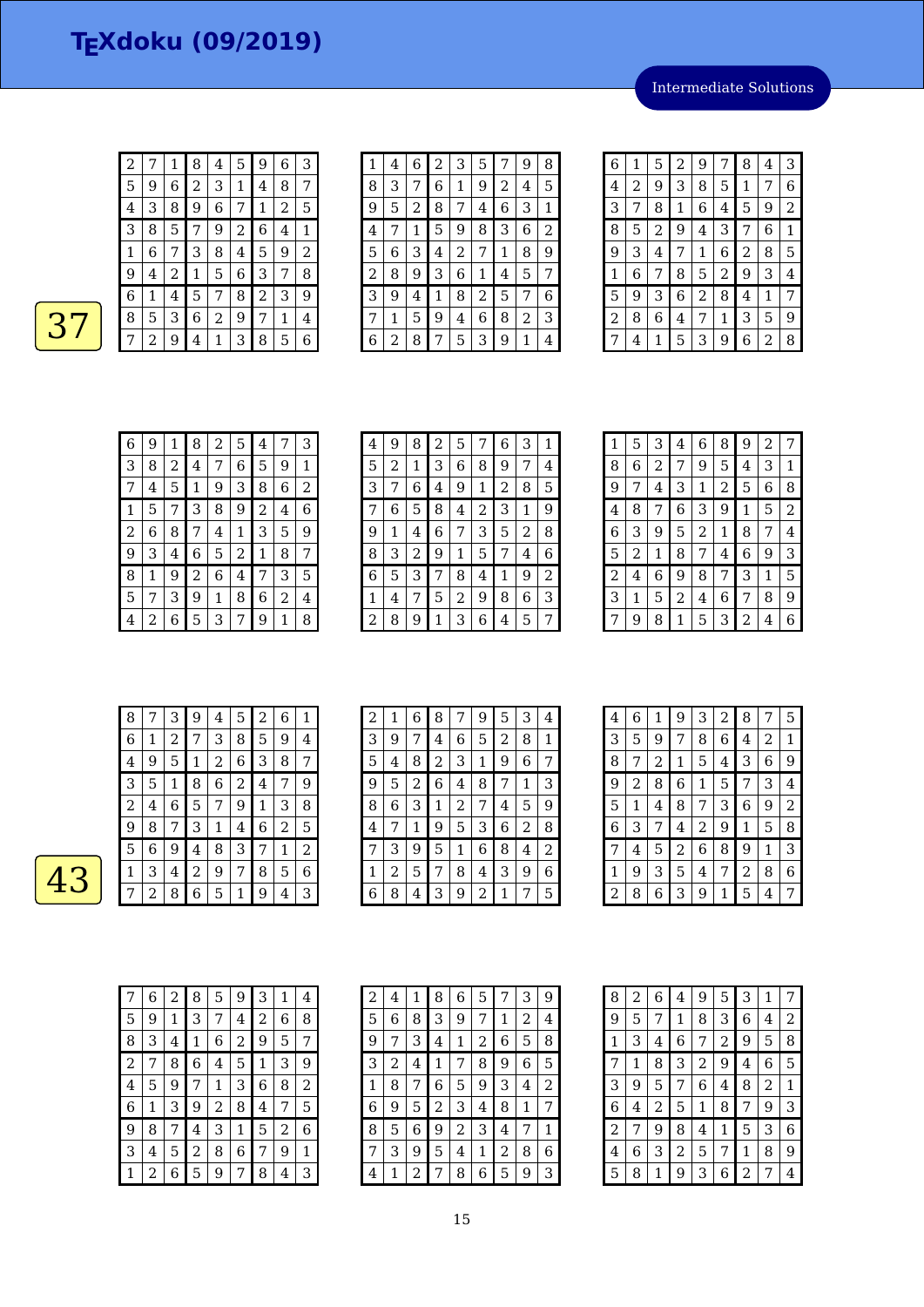Intermediate Solutions

| 2 | 7 | 1 | 8 | 4 | 5 | 9 | 6 | З              |
|---|---|---|---|---|---|---|---|----------------|
| 5 | 9 | 6 | 2 | 3 | 1 | 4 | 8 | 7              |
| 4 | З | 8 | 9 | 6 | 7 | 1 | 2 | 5              |
| 3 | 8 | 5 |   | 9 | 2 | 6 | 4 | 1              |
| 1 | 6 | 7 | 3 | 8 | 4 | 5 | 9 | $\overline{c}$ |
| 9 | 4 | 2 | 1 | 5 | 6 | 3 | 7 | 8              |
| 6 | 1 | 4 | 5 | 7 | 8 | 2 | 3 | 9              |
| 8 | 5 | 3 | 6 | 2 | 9 | 7 | 1 | 4              |
|   | 2 | 9 | 4 | 1 | 3 | 8 | 5 | 6              |

| 1              | 4 | 6 | 2 | 3 | 5 |   | 9 | 8 |
|----------------|---|---|---|---|---|---|---|---|
| 8              | З | 7 | 6 | 1 | 9 | 2 | 4 | 5 |
| 9              | 5 | 2 | 8 | 7 | 4 | 6 | З | 1 |
| 4              | 7 | 1 | 5 | 9 | 8 | 3 | 6 | 2 |
| 5              | 6 | 3 | 4 | 2 | 7 | 1 | 8 | 9 |
| $\overline{c}$ | 8 | 9 | 3 | 6 | 1 | 4 | 5 | 7 |
| 3              | 9 | 4 | 1 | 8 | 2 | 5 | 7 | 6 |
| 7              | 1 | 5 | 9 | 4 | 6 | 8 | 2 | 3 |
| 6              | 2 | 8 |   | 5 | З | 9 | 1 | 4 |

| 6 | 1              | 5              | 2 | 9              | 7              | 8 | 4 | 3 |
|---|----------------|----------------|---|----------------|----------------|---|---|---|
| 4 | $\overline{c}$ | 9              | 3 | 8              | 5              | 1 | 7 | 6 |
| 3 | 7              | 8              | 1 | 6              | $\overline{4}$ | 5 | 9 | 2 |
| 8 | 5              | $\overline{c}$ | 9 | 4              | 3              | 7 | 6 | 1 |
| 9 | 3              | 4              | 7 | 1              | 6              | 2 | 8 | 5 |
| 1 | 6              | 7              | 8 | 5              | $\overline{c}$ | 9 | 3 | 4 |
| 5 | 9              | 3              | 6 | $\overline{a}$ | 8              | 4 | 1 | 7 |
| 2 | 8              | 6              | 4 | 7              | 1              | 3 | 5 | 9 |
| 7 | 4              | 1              | 5 | 3              | 9              | 6 | 2 | 8 |

| 6 | 9 | 1 | 8 | 2           | 5 | 4 | 7 | 3 |
|---|---|---|---|-------------|---|---|---|---|
| 3 | 8 | 2 | 4 | 7           | 6 | 5 | 9 | 1 |
| 7 | 4 | 5 | 1 | 9           | 3 | 8 | 6 | 2 |
| 1 | 5 | 7 | 3 | 8           | 9 | 2 | 4 | 6 |
| 2 | 6 | 8 | 7 | 4           | 1 | 3 | 5 | 9 |
| 9 | 3 | 4 | 6 | 5           | 2 | 1 | 8 | 7 |
| 8 | 1 | 9 | 2 | 6           | 4 | 7 | 3 | 5 |
| 5 |   | 3 | 9 | $\mathbf 1$ | 8 | 6 | 2 | 4 |
| 4 | 2 | 6 | 5 | 3           | 7 | 9 | 1 | 8 |

| 4 | 9 | 8 | 2 | 5 | 7              | 6 | 3 | 1 |
|---|---|---|---|---|----------------|---|---|---|
| 5 | 2 | 1 | 3 | 6 | 8              | 9 | 7 | 4 |
| 3 | 7 | 6 | 4 | 9 | 1              | 2 | 8 | 5 |
| 7 | 6 | 5 | 8 | 4 | $\overline{c}$ | 3 | 1 | 9 |
| 9 | 1 | 4 | 6 | 7 | 3              | 5 | 2 | 8 |
| 8 | 3 | 2 | 9 | 1 | 5              | 7 | 4 | 6 |
| 6 | 5 | 3 | 7 | 8 | 4              | 1 | 9 | 2 |
| 1 | 4 | 7 | 5 | 2 | 9              | 8 | 6 | 3 |
| 2 | 8 | 9 | 1 | 3 | 6              | 4 | 5 | 7 |

| 1 | 5 | 3              | 4 | 6 | 8 | 9 | 2 | 7 |
|---|---|----------------|---|---|---|---|---|---|
| 8 | 6 | $\overline{2}$ | 7 | 9 | 5 | 4 | 3 | 1 |
| 9 | 7 | 4              | 3 | 1 | 2 | 5 | 6 | 8 |
| 4 | 8 | 7              | 6 | 3 | 9 | 1 | 5 | 2 |
| 6 | З | 9              | 5 | 2 | 1 | 8 | 7 | 4 |
| 5 | 2 | 1              | 8 | 7 | 4 | 6 | 9 | 3 |
| 2 | 4 | 6              | 9 | 8 | 7 | 3 | 1 | 5 |
| 3 | 1 | 5              | 2 | 4 | 6 | 7 | 8 | 9 |
| 7 | 9 | 8              | 1 | 5 | 3 | 2 | 4 | 6 |

| 8 |   | 3 | 9 | 4 | 5 | 2 | 6 | 1 |
|---|---|---|---|---|---|---|---|---|
| 6 | 1 | 2 | 7 | З | 8 | 5 | 9 | 4 |
| 4 | 9 | 5 | 1 | 2 | 6 | З | 8 | 7 |
| 3 | 5 | 1 | 8 | 6 | 2 | 4 | 7 | 9 |
| 2 | 4 | 6 | 5 | 7 | 9 | 1 | 3 | 8 |
| 9 | 8 | 7 | З | 1 | 4 | 6 | 2 | 5 |
| 5 | 6 | 9 | 4 | 8 | З | 7 | 1 | 2 |
| 1 | 3 | 4 | 2 | 9 | 7 | 8 | 5 | 6 |
|   | 2 | 8 | 6 | 5 | 1 | 9 | 4 | 3 |

| $\overline{c}$ | 1 | 6 | 8              | 7 | 9              | 5              | 3 | 4 |
|----------------|---|---|----------------|---|----------------|----------------|---|---|
| 3              | 9 | 7 | 4              | 6 | 5              | $\overline{2}$ | 8 | 1 |
| 5              | 4 | 8 | $\overline{c}$ | 3 | 1              | 9              | 6 | 7 |
| 9              | 5 | 2 | 6              | 4 | 8              | 7              | 1 | 3 |
| 8              | 6 | 3 | $\mathbf 1$    | 2 | 7              | 4              | 5 | 9 |
| 4              | 7 | 1 | 9              | 5 | 3              | 6              | 2 | 8 |
| 7              | 3 | 9 | 5              | 1 | 6              | 8              | 4 | 2 |
| 1              | 2 | 5 | 7              | 8 | $\overline{4}$ | 3              | 9 | 6 |
| 6              | 8 | 4 | 3              | 9 | 2              | 1              | 7 | 5 |

| 4              | 6 | 1 | 9 | 3 | 2            | 8 | 7 | 5 |
|----------------|---|---|---|---|--------------|---|---|---|
| 3              | 5 | 9 | 7 | 8 | 6            | 4 | 2 | 1 |
| 8              | 7 | 2 | 1 | 5 | 4            | 3 | 6 | 9 |
| 9              | 2 | 8 | 6 | 1 | 5            | 7 | 3 | 4 |
| 5              | 1 | 4 | 8 | 7 | 3            | 6 | 9 | 2 |
| 6              | 3 | 7 | 4 | 2 | 9            | 1 | 5 | 8 |
| 7              | 4 | 5 | 2 | 6 | 8            | 9 | 1 | 3 |
| 1              | 9 | 3 | 5 | 4 | 7            | 2 | 8 | 6 |
| $\overline{c}$ | 8 | 6 | 3 | 9 | $\mathbf{1}$ | 5 | 4 | 7 |

| 7 | 6 | 2 | 8 | 5 | 9              | 3 | 1 | 4 |
|---|---|---|---|---|----------------|---|---|---|
| 5 | 9 | 1 | 3 | 7 | 4              | 2 | 6 | 8 |
| 8 | 3 | 4 | 1 | 6 | $\overline{c}$ | 9 | 5 | 7 |
| 2 | 7 | 8 | 6 | 4 | 5              | 1 | 3 | 9 |
| 4 | 5 | 9 | 7 | 1 | 3              | 6 | 8 | 2 |
| 6 | 1 | 3 | 9 | 2 | 8              | 4 | 7 | 5 |
| 9 | 8 | 7 | 4 | 3 | 1              | 5 | 2 | 6 |
| 3 | 4 | 5 | 2 | 8 | 6              | 7 | 9 | 1 |
| 1 | 2 | 6 | 5 | 9 | 7              | 8 | 4 | 3 |

| 2 | 4 | 1 | 8 | 6              | 5 | 7 | 3 | 9 |
|---|---|---|---|----------------|---|---|---|---|
| 5 | 6 | 8 | 3 | 9              | 7 | 1 | 2 | 4 |
| 9 | 7 | 3 | 4 | 1              | 2 | 6 | 5 | 8 |
| 3 | 2 | 4 | 1 | 7              | 8 | 9 | 6 | 5 |
| 1 | 8 | 7 | 6 | 5              | 9 | 3 | 4 | 2 |
| 6 | 9 | 5 | 2 | 3              | 4 | 8 | 1 | 7 |
| 8 | 5 | 6 | 9 | $\overline{c}$ | З | 4 | 7 | 1 |
| 7 | 3 | 9 | 5 | 4              | 1 | 2 | 8 | 6 |
| 4 | 1 | 2 | 7 | 8              | 6 | 5 | 9 | З |

| 8 | 2 | 6 | 4 | 9              | 5              | З | 1              | 7 |
|---|---|---|---|----------------|----------------|---|----------------|---|
| 9 | 5 | 7 | 1 | 8              | З              | 6 | 4              | 2 |
| 1 | 3 | 4 | 6 | 7              | $\overline{c}$ | 9 | 5              | 8 |
| 7 | 1 | 8 | 3 | $\overline{c}$ | 9              | 4 | $\,$ 6 $\,$    | 5 |
| 3 | 9 | 5 | 7 | 6              | 4              | 8 | $\overline{c}$ | 1 |
| 6 | 4 | 2 | 5 | 1              | 8              | 7 | 9              | 3 |
| 2 | 7 | 9 | 8 | 4              | 1              | 5 | 3              | 6 |
| 4 | 6 | З | 2 | 5              | 7              | 1 | 8              | 9 |
| 5 | 8 | 1 | 9 | 3              | 6              | 2 | 7              | 4 |